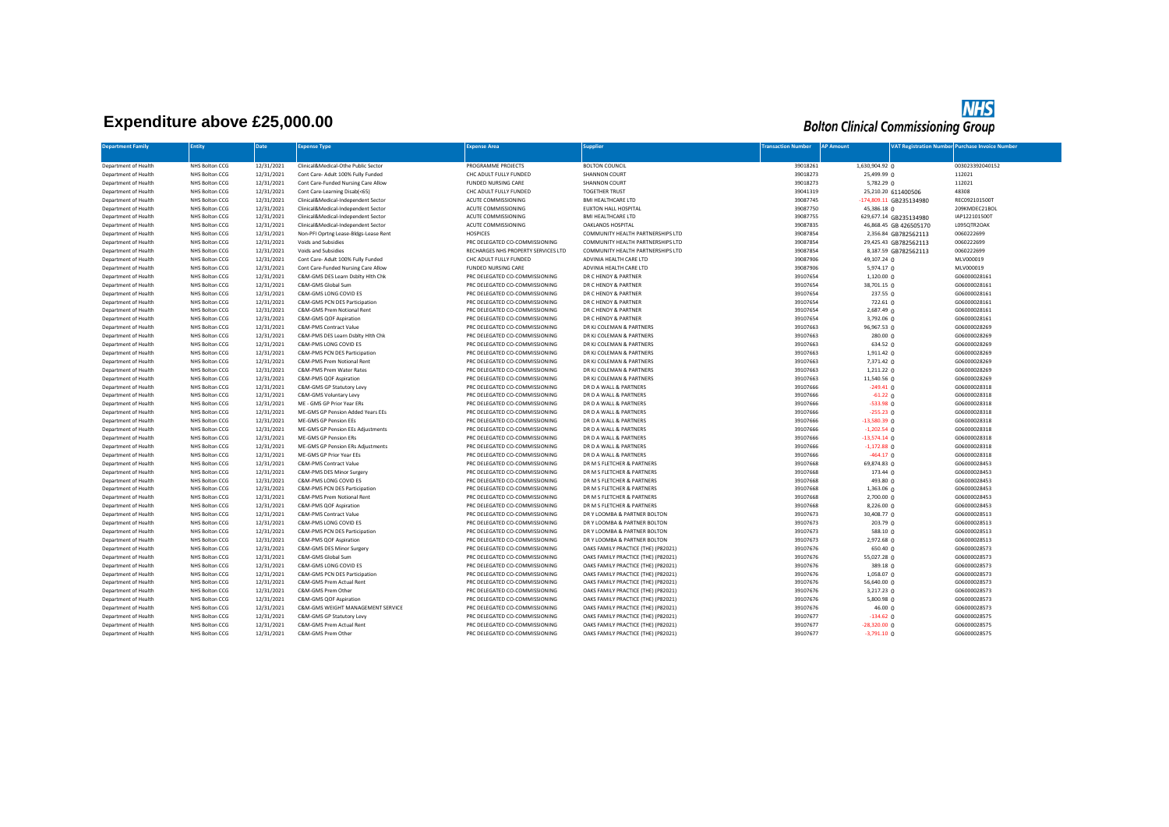## **Expenditure above £25,000.00**

## **NHS**<br>Bolton Clinical Commissioning Group

| <b>Department Family</b> | <b>Entity</b>         | <b>Date</b> | <b>Expense Type</b>                   | <b>Expense Area</b>                 | <b>Supplier</b>                     | <b>Transaction Number</b> | <b>AP Amount</b>        | <b>VAT Registration Number Purchase Invoice Number</b> |  |
|--------------------------|-----------------------|-------------|---------------------------------------|-------------------------------------|-------------------------------------|---------------------------|-------------------------|--------------------------------------------------------|--|
|                          |                       |             |                                       |                                     |                                     |                           |                         |                                                        |  |
| Department of Health     | <b>NHS Bolton CCG</b> | 12/31/2021  | Clinical&Medical-Othe Public Sector   | PROGRAMME PROJECTS                  | <b>BOLTON COUNCIL</b>               | 39018261                  | 1,630,904.92 0          | 003023392040152                                        |  |
| Department of Health     | <b>NHS Bolton CCG</b> | 12/31/2021  | Cont Care- Adult 100% Fully Funded    | CHC ADULT FULLY FUNDED              | <b>SHANNON COURT</b>                | 39018273                  | 25,499.99 0             | 112021                                                 |  |
| Department of Health     | <b>NHS Bolton CCG</b> | 12/31/2021  | Cont Care-Funded Nursing Care Allow   | <b>FUNDED NURSING CARE</b>          | <b>SHANNON COURT</b>                | 39018273                  | $5,782.29$ 0            | 112021                                                 |  |
| Department of Health     | NHS Bolton CCG        | 12/31/2021  | Cont Care-Learning Disab(<65)         | CHC ADULT FULLY FUNDED              | <b>TOGETHER TRUST</b>               | 39041319                  | 25,210.20 611400506     | 48308                                                  |  |
| Department of Health     | NHS Bolton CCG        | 12/31/2021  | Clinical&Medical-Independent Sector   | ACUTE COMMISSIONING                 | BMI HEALTHCARE LTD                  | 39087745                  | -174,809.11 GB235134980 | REC092101500T                                          |  |
| Department of Health     | NHS Bolton CCG        | 12/31/2021  | Clinical&Medical-Independent Sector   | ACUTE COMMISSIONING                 | EUXTON HALL HOSPITAL                | 39087750                  | 45,386.18 0             | 209KMDEC21BOL                                          |  |
| Department of Health     | <b>NHS Bolton CCG</b> | 12/31/2021  | Clinical&Medical-Independent Sector   | ACUTE COMMISSIONING                 | BMI HEALTHCARE LTD                  | 39087755                  | 629,677.14 GB235134980  | IAP122101500T                                          |  |
| Department of Health     | <b>NHS Bolton CCG</b> | 12/31/2021  | Clinical&Medical-Independent Sector   | ACUTE COMMISSIONING                 | <b>OAKLANDS HOSPITAL</b>            | 39087835                  | 46,868.45 GB 426505170  | L095QTR2OAK                                            |  |
| Department of Health     | <b>NHS Bolton CCG</b> | 12/31/2021  | Non-PFI Oprtng Lease-Bldgs-Lease Rent | <b>HOSPICES</b>                     | COMMUNITY HEALTH PARTNERSHIPS LTD   | 39087854                  | 2,356.84 GB782562113    | 0060222699                                             |  |
| Department of Health     | NHS Bolton CCG        | 12/31/2021  | Voids and Subsidies                   | PRC DELEGATED CO-COMMISSIONING      | COMMUNITY HEALTH PARTNERSHIPS LTD   | 39087854                  | 29,425.43 GB782562113   | 0060222699                                             |  |
| Department of Health     | NHS Bolton CCG        | 12/31/2021  | Voids and Subsidies                   | RECHARGES NHS PROPERTY SERVICES LTD | COMMUNITY HEALTH PARTNERSHIPS LTD   | 39087854                  | 8,187.59 GB782562113    | 0060222699                                             |  |
| Department of Health     | NHS Bolton CCG        | 12/31/2021  | Cont Care- Adult 100% Fully Funded    | CHC ADULT FULLY FUNDED              | ADVINIA HEALTH CARE LTD             | 39087906                  | 49,107.24 0             | MLV000019                                              |  |
| Department of Health     | NHS Bolton CCG        | 12/31/2021  | Cont Care-Funded Nursing Care Allow   | FUNDED NURSING CARE                 | ADVINIA HEALTH CARE LTD             | 39087906                  | 5,974.17 0              | MLV000019                                              |  |
| Department of Health     | NHS Bolton CCG        | 12/31/2021  | C&M-GMS DES Learn Dsblty Hith Chk     | PRC DELEGATED CO-COMMISSIONING      | DR C HENDY & PARTNER                | 39107654                  | $1,120.00$ 0            | G06000028161                                           |  |
| Department of Health     | NHS Bolton CCG        | 12/31/2021  | C&M-GMS Global Sum                    | PRC DELEGATED CO-COMMISSIONING      | DR C HENDY & PARTNER                | 39107654                  | 38,701.15 0             | G06000028161                                           |  |
|                          |                       |             |                                       |                                     |                                     | 39107654                  |                         |                                                        |  |
| Department of Health     | <b>NHS Bolton CCG</b> | 12/31/2021  | C&M-GMS LONG COVID ES                 | PRC DELEGATED CO-COMMISSIONING      | DR C HENDY & PARTNER                |                           | 237.55 0                | G06000028161                                           |  |
| Department of Health     | <b>NHS Bolton CCG</b> | 12/31/2021  | C&M-GMS PCN DES Participation         | PRC DELEGATED CO-COMMISSIONING      | DR C HENDY & PARTNER                | 39107654                  | $722.61 \Omega$         | G06000028161                                           |  |
| Department of Health     | NHS Bolton CCG        | 12/31/2021  | C&M-GMS Prem Notional Rent            | PRC DELEGATED CO-COMMISSIONING      | DR C HENDY & PARTNER                | 39107654                  | 2,687.49 0              | G06000028161                                           |  |
| Department of Health     | NHS Bolton CCG        | 12/31/2021  | C&M-GMS QOF Aspiration                | PRC DELEGATED CO-COMMISSIONING      | DR C HENDY & PARTNER                | 39107654                  | 3,792.06 0              | G06000028161                                           |  |
| Department of Health     | <b>NHS Bolton CCG</b> | 12/31/2021  | C&M-PMS Contract Value                | PRC DELEGATED CO-COMMISSIONING      | DR KJ COLEMAN & PARTNERS            | 39107663                  | 96,967.53 0             | G06000028269                                           |  |
| Department of Health     | NHS Bolton CCG        | 12/31/2021  | C&M-PMS DES Learn Dsblty Hlth Chk     | PRC DELEGATED CO-COMMISSIONING      | DR KJ COLEMAN & PARTNERS            | 39107663                  | 280.000                 | G06000028269                                           |  |
| Department of Health     | NHS Bolton CCG        | 12/31/2021  | C&M-PMS LONG COVID ES                 | PRC DELEGATED CO-COMMISSIONING      | DR KJ COLEMAN & PARTNERS            | 39107663                  | 634.52 0                | G06000028269                                           |  |
| Department of Health     | <b>NHS Bolton CCG</b> | 12/31/2021  | C&M-PMS PCN DES Participation         | PRC DELEGATED CO-COMMISSIONING      | DR KJ COLEMAN & PARTNERS            | 39107663                  | 1,911.42 0              | G06000028269                                           |  |
| Department of Health     | NHS Bolton CCG        | 12/31/2021  | C&M-PMS Prem Notional Rent            | PRC DELEGATED CO-COMMISSIONING      | DR KJ COLEMAN & PARTNERS            | 39107663                  | 7,371.42 0              | G06000028269                                           |  |
| Department of Health     | <b>NHS Bolton CCG</b> | 12/31/2021  | C&M-PMS Prem Water Rates              | PRC DELEGATED CO-COMMISSIONING      | DR KJ COLEMAN & PARTNERS            | 39107663                  | 1,211.22 0              | G06000028269                                           |  |
| Department of Health     | <b>NHS Bolton CCG</b> | 12/31/2021  | C&M-PMS QOF Aspiration                | PRC DELEGATED CO-COMMISSIONING      | DR KJ COLEMAN & PARTNERS            | 39107663                  | 11,540.56 0             | G06000028269                                           |  |
| Department of Health     | <b>NHS Bolton CCG</b> | 12/31/2021  | C&M-GMS GP Statutory Levy             | PRC DELEGATED CO-COMMISSIONING      | DR D A WALL & PARTNERS              | 39107666                  | $-249.41$ 0             | G06000028318                                           |  |
| Department of Health     | NHS Bolton CCG        | 12/31/2021  | C&M-GMS Voluntary Levy                | PRC DELEGATED CO-COMMISSIONING      | DR D A WALL & PARTNERS              | 39107666                  | $-61.22$ 0              | G06000028318                                           |  |
| Department of Health     | <b>NHS Bolton CCG</b> | 12/31/2021  | ME - GMS GP Prior Year ERs            | PRC DELEGATED CO-COMMISSIONING      | DR D A WALL & PARTNERS              | 39107666                  | $-533.98$ 0             | G06000028318                                           |  |
| Department of Health     | <b>NHS Bolton CCG</b> | 12/31/2021  | ME-GMS GP Pension Added Years EEs     | PRC DELEGATED CO-COMMISSIONING      | DR D A WALL & PARTNERS              | 39107666                  | $-255.23$ 0             | G06000028318                                           |  |
| Department of Health     | NHS Bolton CCG        | 12/31/2021  | ME-GMS GP Pension EEs                 | PRC DELEGATED CO-COMMISSIONING      | DR D A WALL & PARTNERS              | 39107666                  | $-13,580.39$ 0          | G06000028318                                           |  |
| Department of Health     | NHS Bolton CCG        | 12/31/2021  | ME-GMS GP Pension EEs Adjustments     | PRC DELEGATED CO-COMMISSIONING      | DR D A WALL & PARTNERS              | 39107666                  | $-1,202.54$ 0           | G06000028318                                           |  |
| Department of Health     | NHS Bolton CCG        | 12/31/2021  | ME-GMS GP Pension ERs                 | PRC DELEGATED CO-COMMISSIONING      | DR D A WALL & PARTNERS              | 39107666                  | $-13,574.14$ 0          | G06000028318                                           |  |
| Department of Health     | <b>NHS Bolton CCG</b> | 12/31/2021  | ME-GMS GP Pension ERs Adjustments     | PRC DELEGATED CO-COMMISSIONING      | DR D A WALL & PARTNERS              | 39107666                  | $-1,172.88$ 0           | G06000028318                                           |  |
| Department of Health     | <b>NHS Bolton CCG</b> | 12/31/2021  | ME-GMS GP Prior Year EEs              | PRC DELEGATED CO-COMMISSIONING      | DR D A WALL & PARTNERS              | 39107666                  | $-464.17$ 0             | G06000028318                                           |  |
| Department of Health     | NHS Bolton CCG        | 12/31/2021  | C&M-PMS Contract Value                | PRC DELEGATED CO-COMMISSIONING      | DR M S FLETCHER & PARTNERS          | 39107668                  | 69,874.83 0             | G06000028453                                           |  |
| Department of Health     | <b>NHS Bolton CCG</b> | 12/31/2021  | C&M-PMS DES Minor Surgery             | PRC DELEGATED CO-COMMISSIONING      | DR M S FLETCHER & PARTNERS          | 39107668                  | 173.44 0                | G06000028453                                           |  |
| Department of Health     | NHS Bolton CCG        | 12/31/2021  | C&M-PMS LONG COVID ES                 | PRC DELEGATED CO-COMMISSIONING      | DR M S FLETCHER & PARTNERS          | 39107668                  | 493.80 0                | G06000028453                                           |  |
| Department of Health     | NHS Bolton CCG        | 12/31/2021  | C&M-PMS PCN DES Participation         | PRC DELEGATED CO-COMMISSIONING      | DR M S FLETCHER & PARTNERS          | 39107668                  | 1,363.06 0              | G06000028453                                           |  |
| Department of Health     | NHS Bolton CCG        | 12/31/2021  | C&M-PMS Prem Notional Rent            | PRC DELEGATED CO-COMMISSIONING      | DR M S FLETCHER & PARTNERS          | 39107668                  | 2,700.00 0              | G06000028453                                           |  |
| Department of Health     | <b>NHS Bolton CCG</b> | 12/31/2021  | C&M-PMS QOF Aspiration                | PRC DELEGATED CO-COMMISSIONING      | DR M S FLETCHER & PARTNERS          | 39107668                  | 8,226.00 0              | G06000028453                                           |  |
| Department of Health     | <b>NHS Bolton CCG</b> | 12/31/2021  | C&M-PMS Contract Value                | PRC DELEGATED CO-COMMISSIONING      | DR Y LOOMBA & PARTNER BOLTON        | 39107673                  | 30,408.77 0             | G06000028513                                           |  |
| Department of Health     | <b>NHS Bolton CCG</b> | 12/31/2021  | C&M-PMS LONG COVID ES                 | PRC DELEGATED CO-COMMISSIONING      | DR Y LOOMBA & PARTNER BOLTON        | 39107673                  | 203.79 <sub>0</sub>     | G06000028513                                           |  |
| Department of Health     | <b>NHS Bolton CCG</b> | 12/31/2021  | C&M-PMS PCN DES Participation         | PRC DELEGATED CO-COMMISSIONING      | DR Y LOOMBA & PARTNER BOLTON        | 39107673                  | 588.10 0                | G06000028513                                           |  |
| Department of Health     | <b>NHS Bolton CCG</b> | 12/31/2021  | C&M-PMS QOF Aspiration                | PRC DELEGATED CO-COMMISSIONING      | DR Y LOOMBA & PARTNER BOLTON        | 39107673                  | 2,972.68 0              | G06000028513                                           |  |
| Department of Health     | NHS Bolton CCG        | 12/31/2021  | C&M-GMS DES Minor Surgery             | PRC DELEGATED CO-COMMISSIONING      | OAKS FAMILY PRACTICE (THE) (P82021) | 39107676                  | 650.40 0                | G06000028573                                           |  |
| Department of Health     | NHS Bolton CCG        | 12/31/2021  | C&M-GMS Global Sum                    | PRC DELEGATED CO-COMMISSIONING      | OAKS FAMILY PRACTICE (THE) (P82021) | 39107676                  | 55,027.28 0             | G06000028573                                           |  |
| Department of Health     | NHS Bolton CCG        | 12/31/2021  | C&M-GMS LONG COVID ES                 | PRC DELEGATED CO-COMMISSIONING      | OAKS FAMILY PRACTICE (THE) (P82021) | 39107676                  | 389.18 0                | G06000028573                                           |  |
| Department of Health     | NHS Bolton CCG        | 12/31/2021  | C&M-GMS PCN DES Participation         | PRC DELEGATED CO-COMMISSIONING      | OAKS FAMILY PRACTICE (THE) (P82021) | 39107676                  | 1,058.07 0              | G06000028573                                           |  |
| Department of Health     | <b>NHS Bolton CCG</b> | 12/31/2021  | C&M-GMS Prem Actual Rent              | PRC DELEGATED CO-COMMISSIONING      | OAKS FAMILY PRACTICE (THE) (P82021) | 39107676                  | 56,640.00 0             | G06000028573                                           |  |
| Department of Health     | <b>NHS Bolton CCG</b> | 12/31/2021  | C&M-GMS Prem Other                    | PRC DELEGATED CO-COMMISSIONING      | OAKS FAMILY PRACTICE (THE) (P82021) | 39107676                  | $3,217.23$ 0            | G06000028573                                           |  |
| Department of Health     | <b>NHS Bolton CCG</b> | 12/31/2021  | C&M-GMS QOF Aspiration                | PRC DELEGATED CO-COMMISSIONING      | OAKS FAMILY PRACTICE (THE) (P82021) | 39107676                  | 5,800.98 $\rho$         | G06000028573                                           |  |
| Department of Health     | NHS Bolton CCG        | 12/31/2021  | C&M-GMS WEIGHT MANAGEMENT SERVICE     | PRC DELEGATED CO-COMMISSIONING      | OAKS FAMILY PRACTICE (THE) (P82021) | 39107676                  | 46.00 0                 | G06000028573                                           |  |
| Department of Health     | NHS Bolton CCG        | 12/31/2021  | C&M-GMS GP Statutory Levy             | PRC DELEGATED CO-COMMISSIONING      | OAKS FAMILY PRACTICE (THE) (P82021) | 39107677                  | $-134.62$ 0             | G06000028575                                           |  |
| Department of Health     | NHS Bolton CCG        | 12/31/2021  | C&M-GMS Prem Actual Rent              | PRC DELEGATED CO-COMMISSIONING      | OAKS FAMILY PRACTICE (THE) (P82021) | 39107677                  | $-28,320.00$ 0          | G06000028575                                           |  |
|                          |                       |             |                                       |                                     |                                     |                           |                         |                                                        |  |
| Department of Health     | NHS Bolton CCG        | 12/31/2021  | C&M-GMS Prem Other                    | PRC DELEGATED CO-COMMISSIONING      | OAKS FAMILY PRACTICE (THE) (P82021) | 39107677                  | $-3,791.10$ 0           | G06000028575                                           |  |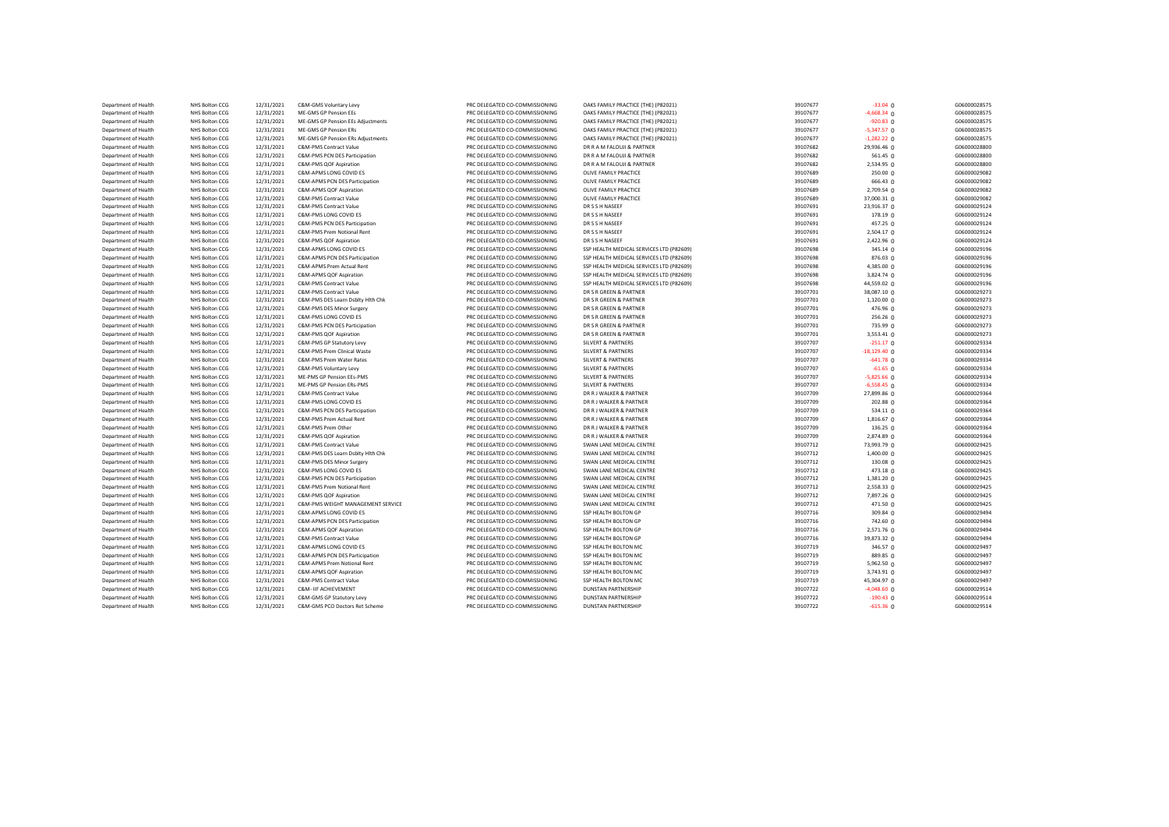| Department of Health | <b>NHS Bolton CCG</b> | 12/31/2021 | C&M-GMS Voluntary Levy            | PRC DELEGATED CO-COMMISSIONING | OAKS FAMILY PRACTICE (THE) (P82021)      | 39107677 | $-33.04$ 0          | G06000028575 |
|----------------------|-----------------------|------------|-----------------------------------|--------------------------------|------------------------------------------|----------|---------------------|--------------|
| Department of Health | <b>NHS Bolton CCG</b> | 12/31/2021 | ME-GMS GP Pension EEs             | PRC DELEGATED CO-COMMISSIONING | OAKS FAMILY PRACTICE (THE) (P82021)      | 39107677 | $-4,668.34$ 0       | G06000028575 |
| Department of Health | NHS Bolton CCG        | 12/31/2021 | ME-GMS GP Pension EEs Adjustments | PRC DELEGATED CO-COMMISSIONING | OAKS FAMILY PRACTICE (THE) (P82021)      | 39107677 | $-920.83$ 0         | G06000028575 |
| Department of Health | <b>NHS Bolton CCG</b> | 12/31/2021 | ME-GMS GP Pension ERs             | PRC DELEGATED CO-COMMISSIONING | OAKS FAMILY PRACTICE (THE) (P82021)      | 39107677 | $-5,347.57$ 0       | G06000028575 |
| Department of Health | <b>NHS Bolton CCG</b> | 12/31/2021 | ME-GMS GP Pension ERs Adjustments | PRC DELEGATED CO-COMMISSIONING | OAKS FAMILY PRACTICE (THE) (P82021)      | 39107677 | $-1,282.22$ 0       | G06000028575 |
| Department of Health | NHS Bolton CCG        | 12/31/2021 | C&M-PMS Contract Value            | PRC DELEGATED CO-COMMISSIONING | DR R A M FALOUJI & PARTNER               | 39107682 | 29,936.46 0         | G06000028800 |
| Department of Health | NHS Bolton CCG        | 12/31/2021 | C&M-PMS PCN DES Participation     | PRC DELEGATED CO-COMMISSIONING | DR R A M FALOUJI & PARTNER               | 39107682 | 561.45 $\Omega$     | G06000028800 |
| Department of Health | <b>NHS Bolton CCG</b> | 12/31/2021 | C&M-PMS QOF Aspiration            | PRC DELEGATED CO-COMMISSIONING | DR R A M FALOUJI & PARTNER               | 39107682 | 2,534.95 0          | G06000028800 |
| Department of Health | NHS Bolton CCG        | 12/31/2021 | C&M-APMS LONG COVID ES            | PRC DELEGATED CO-COMMISSIONING | OLIVE FAMILY PRACTICE                    | 39107689 | 250.00 0            | G06000029082 |
| Department of Health | NHS Bolton CCG        | 12/31/2021 | C&M-APMS PCN DES Participation    | PRC DELEGATED CO-COMMISSIONING | OLIVE FAMILY PRACTICE                    | 39107689 | 666.43 0            | G06000029082 |
| Department of Health | NHS Bolton CCG        | 12/31/2021 | C&M-APMS QOF Aspiration           | PRC DELEGATED CO-COMMISSIONING | OLIVE FAMILY PRACTICE                    | 39107689 | 2,709.54 0          | G06000029082 |
| Department of Health | NHS Bolton CCG        | 12/31/2021 | C&M-PMS Contract Value            | PRC DELEGATED CO-COMMISSIONING | OLIVE FAMILY PRACTICE                    | 39107689 | 37,000.31 0         | G06000029082 |
| Department of Health | <b>NHS Bolton CCG</b> | 12/31/2021 | C&M-PMS Contract Value            | PRC DELEGATED CO-COMMISSIONING | DR S S H NASEEF                          | 39107691 | 23,916.37 0         | G06000029124 |
| Department of Health | NHS Bolton CCG        |            | C&M-PMS LONG COVID ES             | PRC DELEGATED CO-COMMISSIONING | DR S S H NASEEF                          | 39107691 |                     | G06000029124 |
|                      |                       | 12/31/2021 |                                   |                                |                                          |          | 178.19 0            |              |
| Department of Health | NHS Bolton CCG        | 12/31/2021 | C&M-PMS PCN DES Participation     | PRC DELEGATED CO-COMMISSIONING | DR S S H NASEEF                          | 39107691 | 457.25 0            | G06000029124 |
| Department of Health | NHS Bolton CCG        | 12/31/2021 | C&M-PMS Prem Notional Rent        | PRC DELEGATED CO-COMMISSIONING | DR S S H NASEEF                          | 39107691 | 2,504.17 0          | G06000029124 |
| Department of Health | NHS Bolton CCG        | 12/31/2021 | C&M-PMS QOF Aspiration            | PRC DELEGATED CO-COMMISSIONING | DR S S H NASEEF                          | 39107691 | 2,422.96 0          | G06000029124 |
| Department of Health | NHS Bolton CCG        | 12/31/2021 | C&M-APMS LONG COVID ES            | PRC DELEGATED CO-COMMISSIONING | SSP HEALTH MEDICAL SERVICES LTD (P82609) | 39107698 | 345.14 0            | G06000029196 |
| Department of Health | NHS Bolton CCG        | 12/31/2021 | C&M-APMS PCN DES Participation    | PRC DELEGATED CO-COMMISSIONING | SSP HEALTH MEDICAL SERVICES LTD (P82609) | 39107698 | 876.03 <sub>0</sub> | G06000029196 |
| Department of Health | NHS Bolton CCG        | 12/31/2021 | C&M-APMS Prem Actual Rent         | PRC DELEGATED CO-COMMISSIONING | SSP HEALTH MEDICAL SERVICES LTD (P82609) | 39107698 | 4,385.00 0          | G06000029196 |
| Department of Health | <b>NHS Bolton CCG</b> | 12/31/2021 | C&M-APMS QOF Aspiration           | PRC DELEGATED CO-COMMISSIONING | SSP HEALTH MEDICAL SERVICES LTD (P82609) | 39107698 | 3,824.74 0          | G06000029196 |
| Department of Health | NHS Bolton CCG        | 12/31/2021 | C&M-PMS Contract Value            | PRC DELEGATED CO-COMMISSIONING | SSP HEALTH MEDICAL SERVICES LTD (P82609) | 39107698 | 44,559.02 0         | G06000029196 |
| Department of Health | NHS Bolton CCG        | 12/31/2021 | C&M-PMS Contract Value            | PRC DELEGATED CO-COMMISSIONING | DR S R GREEN & PARTNER                   | 39107701 | 38,087.10 0         | G06000029273 |
| Department of Health | <b>NHS Bolton CCG</b> | 12/31/2021 | C&M-PMS DES Learn Dsblty Hlth Chk | PRC DELEGATED CO-COMMISSIONING | DR S R GREEN & PARTNER                   | 39107701 | 1,120.00 0          | G06000029273 |
| Department of Health | NHS Bolton CCG        | 12/31/2021 | C&M-PMS DES Minor Surgery         | PRC DELEGATED CO-COMMISSIONING | DR S R GREEN & PARTNER                   | 39107701 | 476.96 0            | G06000029273 |
| Department of Health | NHS Bolton CCG        | 12/31/2021 | C&M-PMS LONG COVID ES             | PRC DELEGATED CO-COMMISSIONING | DR S R GREEN & PARTNER                   | 39107701 | 256.26 0            | G06000029273 |
| Department of Health | <b>NHS Bolton CCG</b> | 12/31/2021 | C&M-PMS PCN DES Participation     | PRC DELEGATED CO-COMMISSIONING | DR S R GREEN & PARTNER                   | 39107701 | 735.99 0            | G06000029273 |
| Department of Health | NHS Bolton CCG        | 12/31/2021 | C&M-PMS QOF Aspiration            | PRC DELEGATED CO-COMMISSIONING | DR S R GREEN & PARTNER                   | 39107701 | 3,553.41 0          | G06000029273 |
| Department of Health | NHS Bolton CCG        | 12/31/2021 | C&M-PMS GP Statutory Levy         | PRC DELEGATED CO-COMMISSIONING | <b>SILVERT &amp; PARTNERS</b>            | 39107707 | $-251.17$ 0         | G06000029334 |
| Department of Health | NHS Bolton CCG        | 12/31/2021 | C&M-PMS Prem Clinical Waste       | PRC DELEGATED CO-COMMISSIONING | <b>SILVERT &amp; PARTNERS</b>            | 39107707 | $-18,129.40$ 0      | G06000029334 |
| Department of Health | NHS Bolton CCG        | 12/31/2021 | C&M-PMS Prem Water Rates          | PRC DELEGATED CO-COMMISSIONING | <b>SILVERT &amp; PARTNERS</b>            | 39107707 | $-641.78$ 0         | G06000029334 |
| Department of Health | NHS Bolton CCG        | 12/31/2021 | C&M-PMS Voluntary Levy            | PRC DELEGATED CO-COMMISSIONING | <b>SILVERT &amp; PARTNERS</b>            | 39107707 | $-61.65$ 0          | G06000029334 |
| Department of Health | NHS Bolton CCG        | 12/31/2021 | ME-PMS GP Pension EEs-PMS         | PRC DELEGATED CO-COMMISSIONING | <b>SILVERT &amp; PARTNERS</b>            | 39107707 | $-5,825.66$ 0       | G06000029334 |
| Department of Health | NHS Bolton CCG        | 12/31/2021 | ME-PMS GP Pension ERs-PMS         | PRC DELEGATED CO-COMMISSIONING | <b>SILVERT &amp; PARTNERS</b>            | 39107707 | $-6,558.45$ 0       | G06000029334 |
| Department of Health | NHS Bolton CCG        | 12/31/2021 | C&M-PMS Contract Value            | PRC DELEGATED CO-COMMISSIONING | DR R J WALKER & PARTNER                  | 39107709 | 27,899.86 0         | G06000029364 |
|                      |                       |            |                                   |                                |                                          | 39107709 |                     |              |
| Department of Health | NHS Bolton CCG        | 12/31/2021 | C&M-PMS LONG COVID ES             | PRC DELEGATED CO-COMMISSIONING | DR R J WALKER & PARTNER                  |          | 202.88 0            | G06000029364 |
| Department of Health | NHS Bolton CCG        | 12/31/2021 | C&M-PMS PCN DES Participation     | PRC DELEGATED CO-COMMISSIONING | DR R J WALKER & PARTNER                  | 39107709 | $534.11$ 0          | G06000029364 |
| Department of Health | NHS Bolton CCG        | 12/31/2021 | C&M-PMS Prem Actual Rent          | PRC DELEGATED CO-COMMISSIONING | DR R J WALKER & PARTNER                  | 39107709 | 1,816.67 0          | G06000029364 |
| Department of Health | NHS Bolton CCG        | 12/31/2021 | C&M-PMS Prem Other                | PRC DELEGATED CO-COMMISSIONING | DR R J WALKER & PARTNER                  | 39107709 | 136.25 0            | G06000029364 |
| Department of Health | NHS Bolton CCG        | 12/31/2021 | C&M-PMS QOF Aspiration            | PRC DELEGATED CO-COMMISSIONING | DR R J WALKER & PARTNER                  | 39107709 | 2,874.89 0          | G06000029364 |
| Department of Health | NHS Bolton CCG        | 12/31/2021 | C&M-PMS Contract Value            | PRC DELEGATED CO-COMMISSIONING | SWAN LANE MEDICAL CENTRE                 | 39107712 | 73,993.79 0         | G06000029425 |
| Department of Health | NHS Bolton CCG        | 12/31/2021 | C&M-PMS DES Learn Dsblty Hith Chk | PRC DELEGATED CO-COMMISSIONING | SWAN LANE MEDICAL CENTRE                 | 39107712 | 1,400.00 0          | G06000029425 |
| Department of Health | NHS Bolton CCG        | 12/31/2021 | C&M-PMS DES Minor Surgery         | PRC DELEGATED CO-COMMISSIONING | SWAN LANE MEDICAL CENTRE                 | 39107712 | 130.08 0            | G06000029425 |
| Department of Health | NHS Bolton CCG        | 12/31/2021 | C&M-PMS LONG COVID ES             | PRC DELEGATED CO-COMMISSIONING | SWAN LANE MEDICAL CENTRE                 | 39107712 | 473.18 0            | G06000029425 |
| Department of Health | NHS Bolton CCG        | 12/31/2021 | C&M-PMS PCN DES Participation     | PRC DELEGATED CO-COMMISSIONING | SWAN LANE MEDICAL CENTRE                 | 39107712 | 1,381.20 0          | G06000029425 |
| Department of Health | NHS Bolton CCG        | 12/31/2021 | C&M-PMS Prem Notional Rent        | PRC DELEGATED CO-COMMISSIONING | SWAN LANE MEDICAL CENTRE                 | 39107712 | 2,558.33 0          | G06000029425 |
| Department of Health | NHS Bolton CCG        | 12/31/2021 | C&M-PMS QOF Aspiration            | PRC DELEGATED CO-COMMISSIONING | SWAN LANE MEDICAL CENTRE                 | 39107712 | 7,897.26 0          | G06000029425 |
| Department of Health | NHS Bolton CCG        | 12/31/2021 | C&M-PMS WEIGHT MANAGEMENT SERVICE | PRC DELEGATED CO-COMMISSIONING | SWAN LANE MEDICAL CENTRE                 | 39107712 | 471.50 0            | G06000029425 |
| Department of Health | NHS Bolton CCG        | 12/31/2021 | C&M-APMS LONG COVID ES            | PRC DELEGATED CO-COMMISSIONING | SSP HEALTH BOLTON GP                     | 39107716 | 309.84 0            | G06000029494 |
| Department of Health | NHS Bolton CCG        | 12/31/2021 | C&M-APMS PCN DES Participation    | PRC DELEGATED CO-COMMISSIONING | SSP HEALTH BOLTON GP                     | 39107716 | 742.60 0            | G06000029494 |
| Department of Health | NHS Bolton CCG        | 12/31/2021 | C&M-APMS QOF Aspiration           | PRC DELEGATED CO-COMMISSIONING | SSP HEALTH BOLTON GP                     | 39107716 | 2,571.76 0          | G06000029494 |
| Department of Health | NHS Bolton CCG        | 12/31/2021 | C&M-PMS Contract Value            | PRC DELEGATED CO-COMMISSIONING | SSP HEALTH BOLTON GP                     | 39107716 | 39,873.32 0         | G06000029494 |
| Department of Health | NHS Bolton CCG        | 12/31/2021 | C&M-APMS LONG COVID ES            | PRC DELEGATED CO-COMMISSIONING | SSP HEALTH BOLTON MC                     | 39107719 | 346.57 0            | G06000029497 |
| Department of Health | NHS Bolton CCG        | 12/31/2021 | C&M-APMS PCN DES Participation    | PRC DELEGATED CO-COMMISSIONING | SSP HEALTH BOLTON MC                     | 39107719 | 889.85 0            | G06000029497 |
| Department of Health | NHS Bolton CCG        | 12/31/2021 | C&M-APMS Prem Notional Rent       | PRC DELEGATED CO-COMMISSIONING | SSP HEALTH BOLTON MC                     | 39107719 | 5,962.50 0          | G06000029497 |
| Department of Health | NHS Bolton CCG        | 12/31/2021 | C&M-APMS QOF Aspiration           | PRC DELEGATED CO-COMMISSIONING | SSP HEALTH BOLTON MC                     | 39107719 | 3,743.91 0          | G06000029497 |
| Department of Health | NHS Bolton CCG        | 12/31/2021 | C&M-PMS Contract Value            | PRC DELEGATED CO-COMMISSIONING | SSP HEALTH BOLTON MC                     | 39107719 | 45,304.97 0         | G06000029497 |
| Department of Health | NHS Bolton CCG        | 12/31/2021 | C&M- IIF ACHIEVEMENT              | PRC DELEGATED CO-COMMISSIONING | <b>DUNSTAN PARTNERSHIP</b>               | 39107722 | $-4,048.60$ 0       | G06000029514 |
| Department of Health | NHS Bolton CCG        | 12/31/2021 | C&M-GMS GP Statutory Levy         | PRC DELEGATED CO-COMMISSIONING | <b>DUNSTAN PARTNERSHIP</b>               | 39107722 | $-190.43$ 0         | G06000029514 |
| Department of Health | NHS Bolton CCG        | 12/31/2021 | C&M-GMS PCO Doctors Ret Scheme    | PRC DELEGATED CO-COMMISSIONING | <b>DUNSTAN PARTNERSHIP</b>               | 39107722 | $-615.36$ 0         | G06000029514 |
|                      |                       |            |                                   |                                |                                          |          |                     |              |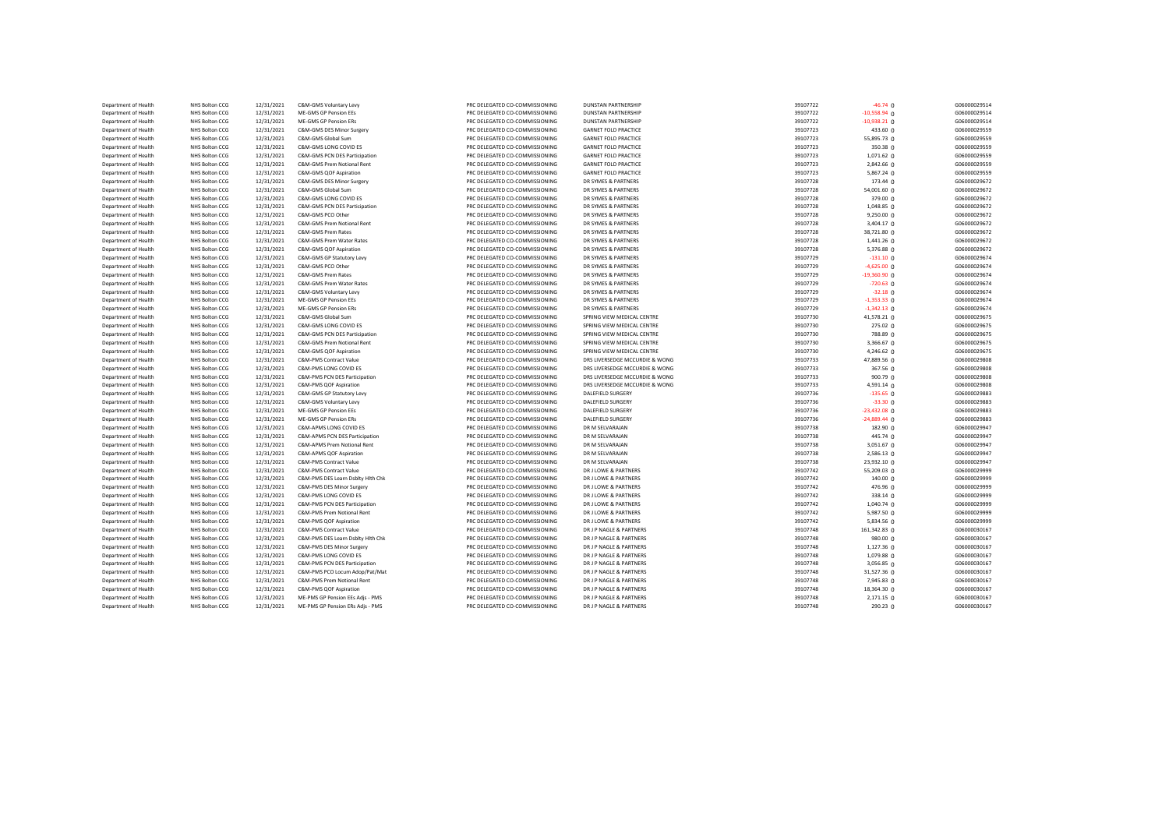| Department of Health                         | NHS Bolton CCG                   | 12/31/2021               | C&M-GMS Voluntary Levy                                      | PRC DELEGATED CO-COMMISSIONING                                   | <b>DUNSTAN PARTNERSHIP</b>                               | 39107722             | $-46.74$ 0           | G06000029514                 |
|----------------------------------------------|----------------------------------|--------------------------|-------------------------------------------------------------|------------------------------------------------------------------|----------------------------------------------------------|----------------------|----------------------|------------------------------|
| Department of Health                         | NHS Bolton CCG                   | 12/31/2021               | ME-GMS GP Pension EEs                                       | PRC DELEGATED CO-COMMISSIONING                                   | <b>DUNSTAN PARTNERSHIP</b>                               | 39107722             | $-10,558.94$ 0       | G06000029514                 |
| Department of Health                         | NHS Bolton CCG                   | 12/31/2021               | ME-GMS GP Pension ERs                                       | PRC DELEGATED CO-COMMISSIONING                                   | <b>DUNSTAN PARTNERSHIP</b>                               | 39107722             | $-10,938.21$ 0       | G06000029514                 |
| Department of Health                         | NHS Bolton CCG                   | 12/31/2021               | C&M-GMS DES Minor Surgery                                   | PRC DELEGATED CO-COMMISSIONING                                   | <b>GARNET FOLD PRACTICE</b>                              | 39107723             | 433.60 0             | G06000029559                 |
| Department of Health                         | NHS Bolton CCG                   | 12/31/2021               | C&M-GMS Global Sum                                          | PRC DELEGATED CO-COMMISSIONING                                   | <b>GARNET FOLD PRACTICE</b>                              | 39107723             | 55,895.73 0          | G06000029559                 |
| Department of Health                         | NHS Bolton CCG                   | 12/31/2021               | C&M-GMS LONG COVID ES                                       | PRC DELEGATED CO-COMMISSIONING                                   | <b>GARNET FOLD PRACTICE</b>                              | 39107723             | 350.38 0             | G06000029559                 |
| Department of Health                         | NHS Bolton CCG                   | 12/31/2021               | C&M-GMS PCN DES Participation                               | PRC DELEGATED CO-COMMISSIONING                                   | <b>GARNET FOLD PRACTICE</b>                              | 39107723             | $1,071.62$ 0         | G06000029559                 |
| Department of Health                         | NHS Bolton CCG                   | 12/31/2021               | C&M-GMS Prem Notional Rent                                  | PRC DELEGATED CO-COMMISSIONING                                   | <b>GARNET FOLD PRACTICE</b>                              | 39107723             | 2,842.66 0           | G06000029559                 |
| Department of Health                         | NHS Bolton CCG                   | 12/31/2021               | C&M-GMS QOF Aspiration                                      | PRC DELEGATED CO-COMMISSIONING                                   | <b>GARNET FOLD PRACTICE</b>                              | 39107723             | 5,867.24 0           | G06000029559                 |
| Department of Health                         | NHS Bolton CCG                   | 12/31/2021               | C&M-GMS DES Minor Surgery                                   | PRC DELEGATED CO-COMMISSIONING                                   | DR SYMES & PARTNERS                                      | 39107728             | 173.44 0             | G06000029672                 |
| Department of Health                         | NHS Bolton CCG                   | 12/31/2021               | C&M-GMS Global Sum                                          | PRC DELEGATED CO-COMMISSIONING                                   | DR SYMES & PARTNERS                                      | 39107728             | 54,001.60 0          | G06000029672                 |
| Department of Health                         | NHS Bolton CCG                   | 12/31/2021               | C&M-GMS LONG COVID ES                                       | PRC DELEGATED CO-COMMISSIONING                                   | DR SYMES & PARTNERS                                      | 39107728             | 379.00 0             | G06000029672                 |
| Department of Health                         | NHS Bolton CCG                   | 12/31/2021               | C&M-GMS PCN DES Participation                               | PRC DELEGATED CO-COMMISSIONING                                   | DR SYMES & PARTNERS                                      | 39107728             | $1,048.85$ 0         | G06000029672                 |
| Department of Health                         | NHS Bolton CCG                   | 12/31/2021               | C&M-GMS PCO Other                                           | PRC DELEGATED CO-COMMISSIONING                                   | DR SYMES & PARTNERS                                      | 39107728             | $9,250.00$ 0         | G06000029672                 |
| Department of Health                         | NHS Bolton CCG                   | 12/31/2021               | C&M-GMS Prem Notional Rent                                  | PRC DELEGATED CO-COMMISSIONING                                   | DR SYMES & PARTNERS                                      | 39107728             | 3,404.17 0           | G06000029672                 |
| Department of Health                         | NHS Bolton CCG                   | 12/31/2021               | C&M-GMS Prem Rates                                          | PRC DELEGATED CO-COMMISSIONING                                   | DR SYMES & PARTNERS                                      | 39107728             | 38,721.80 0          | G06000029672                 |
| Department of Health                         | NHS Bolton CCG                   | 12/31/2021               | C&M-GMS Prem Water Rates                                    | PRC DELEGATED CO-COMMISSIONING                                   | DR SYMES & PARTNERS                                      | 39107728             | $1,441.26$ 0         | G06000029672                 |
| Department of Health                         | NHS Bolton CCG                   | 12/31/2021               | C&M-GMS QOF Aspiration                                      | PRC DELEGATED CO-COMMISSIONING                                   | DR SYMES & PARTNERS                                      | 39107728             | 5,376.88 0           | G06000029672                 |
| Department of Health                         | NHS Bolton CCG                   | 12/31/2021               | C&M-GMS GP Statutory Levy                                   | PRC DELEGATED CO-COMMISSIONING                                   | DR SYMES & PARTNERS                                      | 39107729             | $-131.10$ 0          | G06000029674                 |
| Department of Health                         | NHS Bolton CCG                   | 12/31/2021               | C&M-GMS PCO Other                                           | PRC DELEGATED CO-COMMISSIONING                                   | DR SYMES & PARTNERS                                      | 39107729             | $-4,625.00$ 0        | G06000029674                 |
| Department of Health                         | NHS Bolton CCG                   | 12/31/2021               | C&M-GMS Prem Rates                                          | PRC DELEGATED CO-COMMISSIONING                                   | DR SYMES & PARTNERS                                      | 39107729             | $-19,360.90$ 0       | G06000029674                 |
| Department of Health                         | NHS Bolton CCG                   | 12/31/2021               | C&M-GMS Prem Water Rates                                    | PRC DELEGATED CO-COMMISSIONING                                   | DR SYMES & PARTNERS                                      | 39107729             | $-720.63$ 0          | G06000029674                 |
| Department of Health                         | NHS Bolton CCG                   | 12/31/2021               | C&M-GMS Voluntary Levy                                      | PRC DELEGATED CO-COMMISSIONING                                   | DR SYMES & PARTNERS                                      | 39107729             | $-32.18$ 0           | G06000029674                 |
| Department of Health                         | NHS Bolton CCG                   | 12/31/2021               | ME-GMS GP Pension EEs                                       | PRC DELEGATED CO-COMMISSIONING                                   | DR SYMES & PARTNERS                                      | 39107729             | $-1,353.33$ 0        | G06000029674                 |
| Department of Health                         | NHS Bolton CCG                   | 12/31/2021               | ME-GMS GP Pension ERs                                       | PRC DELEGATED CO-COMMISSIONING                                   | DR SYMES & PARTNERS                                      | 39107729             | $-1,342.13$ 0        | G06000029674                 |
| Department of Health                         | NHS Bolton CCG                   | 12/31/2021               | C&M-GMS Global Sum                                          | PRC DELEGATED CO-COMMISSIONING                                   | SPRING VIEW MEDICAL CENTRE                               | 39107730             | 41,578.21 0          | G06000029675                 |
|                                              |                                  |                          |                                                             |                                                                  |                                                          |                      |                      |                              |
| Department of Health<br>Department of Health | NHS Bolton CCG<br>NHS Bolton CCG | 12/31/2021<br>12/31/2021 | C&M-GMS LONG COVID ES                                       | PRC DELEGATED CO-COMMISSIONING                                   | SPRING VIEW MEDICAL CENTRE                               | 39107730<br>39107730 | 275.02 0<br>788.89 0 | G06000029675<br>G06000029675 |
|                                              | NHS Bolton CCG                   | 12/31/2021               | C&M-GMS PCN DES Participation<br>C&M-GMS Prem Notional Rent | PRC DELEGATED CO-COMMISSIONING<br>PRC DELEGATED CO-COMMISSIONING | SPRING VIEW MEDICAL CENTRE<br>SPRING VIEW MEDICAL CENTRE | 39107730             |                      | G06000029675                 |
| Department of Health                         |                                  |                          |                                                             |                                                                  |                                                          |                      | 3,366.67 0           |                              |
| Department of Health                         | NHS Bolton CCG                   | 12/31/2021               | C&M-GMS QOF Aspiration                                      | PRC DELEGATED CO-COMMISSIONING                                   | SPRING VIEW MEDICAL CENTRE                               | 39107730             | 4,246.62 0           | G06000029675                 |
| Department of Health                         | NHS Bolton CCG                   | 12/31/2021               | C&M-PMS Contract Value                                      | PRC DELEGATED CO-COMMISSIONING                                   | DRS LIVERSEDGE MCCURDIE & WONG                           | 39107733<br>39107733 | 47,889.56 0          | G06000029808                 |
| Department of Health                         | NHS Bolton CCG                   | 12/31/2021               | C&M-PMS LONG COVID ES                                       | PRC DELEGATED CO-COMMISSIONING                                   | DRS LIVERSEDGE MCCURDIE & WONG                           |                      | 367.56 0             | G06000029808                 |
| Department of Health                         | NHS Bolton CCG                   | 12/31/2021               | C&M-PMS PCN DES Participation                               | PRC DELEGATED CO-COMMISSIONING                                   | DRS LIVERSEDGE MCCURDIE & WONG                           | 39107733             | 900.79 0             | G06000029808                 |
| Department of Health                         | NHS Bolton CCG                   | 12/31/2021               | C&M-PMS QOF Aspiration                                      | PRC DELEGATED CO-COMMISSIONING                                   | DRS LIVERSEDGE MCCURDIE & WONG                           | 39107733             | 4,591.14 0           | G06000029808                 |
| Department of Health                         | NHS Bolton CCG                   | 12/31/2021               | C&M-GMS GP Statutory Levy                                   | PRC DELEGATED CO-COMMISSIONING                                   | <b>DALEFIELD SURGERY</b>                                 | 39107736             | $-135.65$ 0          | G06000029883                 |
| Department of Health                         | NHS Bolton CCG                   | 12/31/2021               | C&M-GMS Voluntary Levy                                      | PRC DELEGATED CO-COMMISSIONING                                   | DALEFIELD SURGERY                                        | 39107736             | $-33.30$ 0           | G06000029883                 |
| Department of Health                         | NHS Bolton CCG                   | 12/31/2021               | ME-GMS GP Pension EEs                                       | PRC DELEGATED CO-COMMISSIONING                                   | DALEFIELD SURGERY                                        | 39107736             | $-23,432.08$ 0       | G06000029883                 |
| Department of Health                         | NHS Bolton CCG                   | 12/31/2021               | ME-GMS GP Pension ERs                                       | PRC DELEGATED CO-COMMISSIONING                                   | DALEFIELD SURGERY                                        | 39107736             | $-24,889.44$ 0       | G06000029883                 |
| Department of Health                         | NHS Bolton CCG                   | 12/31/2021               | C&M-APMS LONG COVID ES                                      | PRC DELEGATED CO-COMMISSIONING                                   | DR M SELVARAJAN                                          | 39107738             | 182.90 0             | G06000029947                 |
| Department of Health                         | NHS Bolton CCG                   | 12/31/2021               | C&M-APMS PCN DES Participation                              | PRC DELEGATED CO-COMMISSIONING                                   | DR M SELVARAJAN                                          | 39107738             | 445.74 0             | G06000029947                 |
| Department of Health                         | NHS Bolton CCG                   | 12/31/2021               | C&M-APMS Prem Notional Rent                                 | PRC DELEGATED CO-COMMISSIONING                                   | DR M SELVARAJAN                                          | 39107738             | 3,051.67 0           | G06000029947                 |
| Department of Health                         | NHS Bolton CCG                   | 12/31/2021               | C&M-APMS QOF Aspiration                                     | PRC DELEGATED CO-COMMISSIONING                                   | DR M SELVARAJAN                                          | 39107738             | 2,586.13 0           | G06000029947                 |
| Department of Health                         | NHS Bolton CCG                   | 12/31/2021               | C&M-PMS Contract Value                                      | PRC DELEGATED CO-COMMISSIONING                                   | DR M SELVARAJAN                                          | 39107738             | 23,932.10 0          | G06000029947                 |
| Department of Health                         | NHS Bolton CCG                   | 12/31/2021               | C&M-PMS Contract Value                                      | PRC DELEGATED CO-COMMISSIONING                                   | DR J LOWE & PARTNERS                                     | 39107742             | 55,209.03 0          | G06000029999                 |
| Department of Health                         | NHS Bolton CCG                   | 12/31/2021               | C&M-PMS DES Learn Dsblty Hlth Chk                           | PRC DELEGATED CO-COMMISSIONING                                   | DR J LOWE & PARTNERS                                     | 39107742             | 140.00 0             | G06000029999                 |
| Department of Health                         | <b>NHS Bolton CCG</b>            | 12/31/2021               | C&M-PMS DES Minor Surgery                                   | PRC DELEGATED CO-COMMISSIONING                                   | DR J LOWE & PARTNERS                                     | 39107742             | 476.96 $0$           | G06000029999                 |
| Department of Health                         | NHS Bolton CCG                   | 12/31/2021               | C&M-PMS LONG COVID ES                                       | PRC DELEGATED CO-COMMISSIONING                                   | DR J LOWE & PARTNERS                                     | 39107742             | 338.14 0             | G06000029999                 |
| Department of Health                         | NHS Bolton CCG                   | 12/31/2021               | C&M-PMS PCN DES Participation                               | PRC DELEGATED CO-COMMISSIONING                                   | DR J LOWE & PARTNERS                                     | 39107742             | 1,040.74 0           | G06000029999                 |
| Department of Health                         | NHS Bolton CCG                   | 12/31/2021               | C&M-PMS Prem Notional Rent                                  | PRC DELEGATED CO-COMMISSIONING                                   | DR J LOWE & PARTNERS                                     | 39107742             | 5,987.50 0           | G06000029999                 |
| Department of Health                         | <b>NHS Bolton CCG</b>            | 12/31/2021               | C&M-PMS QOF Aspiration                                      | PRC DELEGATED CO-COMMISSIONING                                   | DR J LOWE & PARTNERS                                     | 39107742             | 5,834.56 $\Omega$    | G06000029999                 |
| Department of Health                         | NHS Bolton CCG                   | 12/31/2021               | C&M-PMS Contract Value                                      | PRC DELEGATED CO-COMMISSIONING                                   | DR J P NAGLE & PARTNERS                                  | 39107748             | 161,342.83 0         | G06000030167                 |
| Department of Health                         | <b>NHS Bolton CCG</b>            | 12/31/2021               | C&M-PMS DES Learn Dsblty Hlth Chk                           | PRC DELEGATED CO-COMMISSIONING                                   | DR J P NAGLE & PARTNERS                                  | 39107748             | $980.00 \Omega$      | G06000030167                 |
| Department of Health                         | NHS Bolton CCG                   | 12/31/2021               | C&M-PMS DES Minor Surgery                                   | PRC DELEGATED CO-COMMISSIONING                                   | DR J P NAGLE & PARTNERS                                  | 39107748             | 1,127.36 0           | G06000030167                 |
| Department of Health                         | <b>NHS Bolton CCG</b>            | 12/31/2021               | C&M-PMS LONG COVID ES                                       | PRC DELEGATED CO-COMMISSIONING                                   | DR J P NAGLE & PARTNERS                                  | 39107748             | 1,079.88 0           | G06000030167                 |
| Department of Health                         | NHS Bolton CCG                   | 12/31/2021               | C&M-PMS PCN DES Participation                               | PRC DELEGATED CO-COMMISSIONING                                   | DR J P NAGLE & PARTNERS                                  | 39107748             | 3,056.85 0           | G06000030167                 |
| Department of Health                         | <b>NHS Bolton CCG</b>            | 12/31/2021               | C&M-PMS PCO Locum Adop/Pat/Mat                              | PRC DELEGATED CO-COMMISSIONING                                   | DR J P NAGLE & PARTNERS                                  | 39107748             | 31,527.36 0          | G06000030167                 |
| Department of Health                         | NHS Bolton CCG                   | 12/31/2021               | C&M-PMS Prem Notional Rent                                  | PRC DELEGATED CO-COMMISSIONING                                   | DR J P NAGLE & PARTNERS                                  | 39107748             | 7,945.83 0           | G06000030167                 |
| Department of Health                         | NHS Bolton CCG                   | 12/31/2021               | C&M-PMS QOF Aspiration                                      | PRC DELEGATED CO-COMMISSIONING                                   | DR J P NAGLE & PARTNERS                                  | 39107748             | 18,364.30 0          | G06000030167                 |
| Department of Health                         | NHS Bolton CCG                   | 12/31/2021               | ME-PMS GP Pension EEs Adjs - PMS                            | PRC DELEGATED CO-COMMISSIONING                                   | DR J P NAGLE & PARTNERS                                  | 39107748             | $2,171.15$ 0         | G06000030167                 |
| Department of Health                         | NHS Bolton CCG                   | 12/31/2021               | ME-PMS GP Pension ERs Adjs - PMS                            | PRC DELEGATED CO-COMMISSIONING                                   | DR J P NAGLE & PARTNERS                                  | 39107748             | 290.23 0             | G06000030167                 |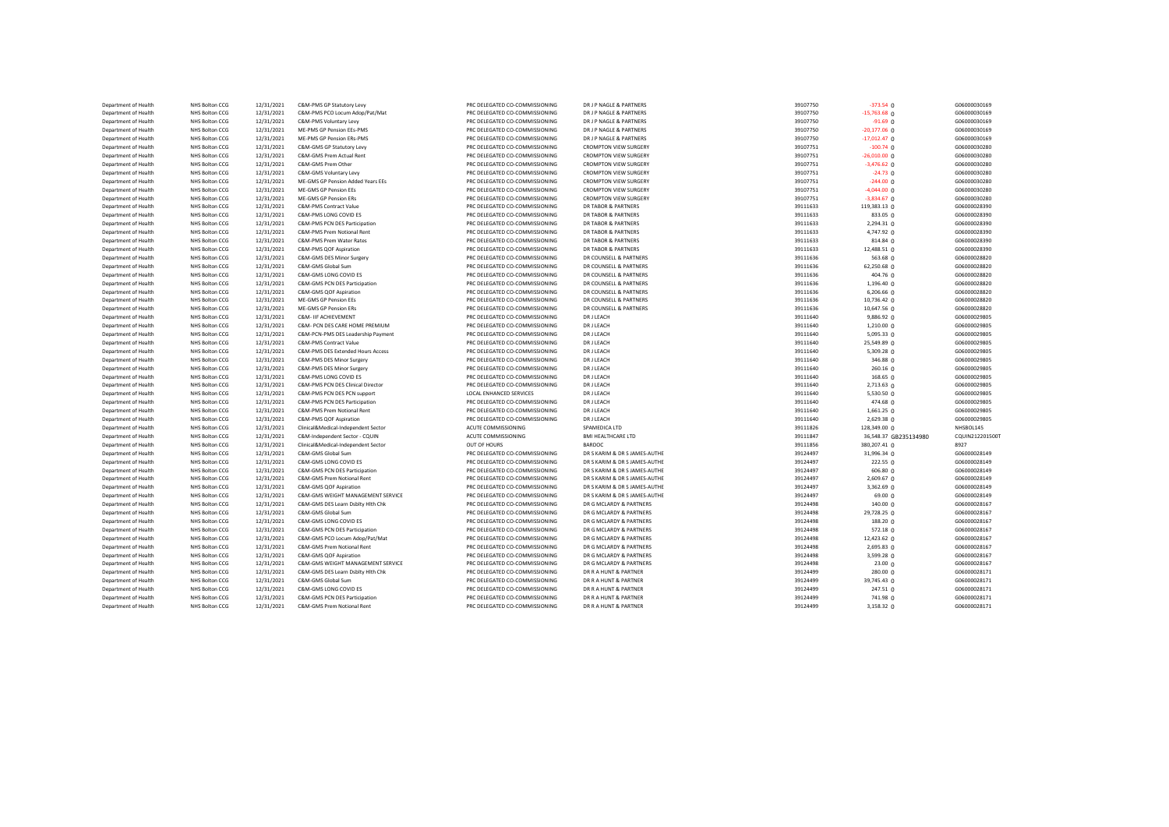| Department of Health                         | NHS Bolton CCG | 12/31/2021 | C&M-PMS GP Statutory Levy           | PRC DELEGATED CO-COMMISSIONING | DR J P NAGLE & PARTNERS        | 39107750 | $-373.54$ 0           | G06000030169    |
|----------------------------------------------|----------------|------------|-------------------------------------|--------------------------------|--------------------------------|----------|-----------------------|-----------------|
| Department of Health                         | NHS Bolton CCG | 12/31/2021 | C&M-PMS PCO Locum Adop/Pat/Mat      | PRC DELEGATED CO-COMMISSIONING | DR J P NAGLE & PARTNERS        | 39107750 | $-15,763.68$ 0        | G06000030169    |
| Department of Health                         | NHS Bolton CCG | 12/31/2021 | C&M-PMS Voluntary Levy              | PRC DELEGATED CO-COMMISSIONING | DR J P NAGLE & PARTNERS        | 39107750 | $-91.69$ 0            | G06000030169    |
| Department of Health                         | NHS Bolton CCG | 12/31/2021 | ME-PMS GP Pension EEs-PMS           | PRC DELEGATED CO-COMMISSIONING | DR J P NAGLE & PARTNERS        | 39107750 | $-20,177.06$ 0        | G06000030169    |
| Department of Health                         | NHS Bolton CCG | 12/31/2021 | ME-PMS GP Pension ERs-PMS           | PRC DELEGATED CO-COMMISSIONING | DR J P NAGLE & PARTNERS        | 39107750 | $-17,012.47$ 0        | G06000030169    |
| Department of Health                         | NHS Bolton CCG | 12/31/2021 | C&M-GMS GP Statutory Levy           | PRC DELEGATED CO-COMMISSIONING | <b>CROMPTON VIEW SURGERY</b>   | 39107751 | $-100.74$ 0           | G06000030280    |
| Department of Health                         | NHS Bolton CCG | 12/31/2021 | C&M-GMS Prem Actual Rent            | PRC DELEGATED CO-COMMISSIONING | <b>CROMPTON VIEW SURGERY</b>   | 39107751 | $-26,010.00$ 0        | G06000030280    |
| Department of Health                         | NHS Bolton CCG | 12/31/2021 | C&M-GMS Prem Other                  | PRC DELEGATED CO-COMMISSIONING | <b>CROMPTON VIEW SURGERY</b>   | 39107751 | $-3,476.62$ 0         | G06000030280    |
| Department of Health                         | NHS Bolton CCG | 12/31/2021 | C&M-GMS Voluntary Levy              | PRC DELEGATED CO-COMMISSIONING | <b>CROMPTON VIEW SURGERY</b>   | 39107751 | $-24.73$ 0            | G06000030280    |
| Department of Health                         | NHS Bolton CCG | 12/31/2021 | ME-GMS GP Pension Added Years EEs   | PRC DELEGATED CO-COMMISSIONING | <b>CROMPTON VIEW SURGERY</b>   | 39107751 | $-244.00$ 0           | G06000030280    |
| Department of Health                         | NHS Bolton CCG | 12/31/2021 | <b>ME-GMS GP Pension EEs</b>        | PRC DELEGATED CO-COMMISSIONING | <b>CROMPTON VIEW SURGERY</b>   | 39107751 | $-4,044.00$ 0         | G06000030280    |
| Department of Health                         | NHS Bolton CCG | 12/31/2021 | ME-GMS GP Pension ERs               | PRC DELEGATED CO-COMMISSIONING | <b>CROMPTON VIEW SURGERY</b>   | 39107751 | $-3,834.67$ 0         | G06000030280    |
|                                              | NHS Bolton CCG | 12/31/2021 | <b>C&amp;M-PMS Contract Value</b>   | PRC DELEGATED CO-COMMISSIONING | DR TABOR & PARTNERS            | 39111633 | 119,383.13 0          | G06000028390    |
| Department of Health<br>Department of Health | NHS Bolton CCG | 12/31/2021 | C&M-PMS LONG COVID ES               | PRC DELEGATED CO-COMMISSIONING | <b>DR TABOR &amp; PARTNERS</b> | 39111633 | 833.05 0              | G06000028390    |
|                                              |                |            |                                     |                                |                                |          |                       |                 |
| Department of Health                         | NHS Bolton CCG | 12/31/2021 | C&M-PMS PCN DES Participation       | PRC DELEGATED CO-COMMISSIONING | <b>DR TABOR &amp; PARTNERS</b> | 39111633 | 2,294.31 0            | G06000028390    |
| Department of Health                         | NHS Bolton CCG | 12/31/2021 | C&M-PMS Prem Notional Rent          | PRC DELEGATED CO-COMMISSIONING | DR TABOR & PARTNERS            | 39111633 | 4,747.92 0            | G06000028390    |
| Department of Health                         | NHS Bolton CCG | 12/31/2021 | C&M-PMS Prem Water Rates            | PRC DELEGATED CO-COMMISSIONING | DR TABOR & PARTNERS            | 39111633 | 814.84 0              | G06000028390    |
| Department of Health                         | NHS Bolton CCG | 12/31/2021 | C&M-PMS QOF Aspiration              | PRC DELEGATED CO-COMMISSIONING | DR TABOR & PARTNERS            | 39111633 | 12,488.51 0           | G06000028390    |
| Department of Health                         | NHS Bolton CCG | 12/31/2021 | C&M-GMS DES Minor Surgery           | PRC DELEGATED CO-COMMISSIONING | DR COUNSELL & PARTNERS         | 39111636 | 563.68 0              | G06000028820    |
| Department of Health                         | NHS Bolton CCG | 12/31/2021 | C&M-GMS Global Sum                  | PRC DELEGATED CO-COMMISSIONING | DR COUNSELL & PARTNERS         | 39111636 | 62,250.68 0           | G06000028820    |
| Department of Health                         | NHS Bolton CCG | 12/31/2021 | C&M-GMS LONG COVID ES               | PRC DELEGATED CO-COMMISSIONING | DR COUNSELL & PARTNERS         | 39111636 | 404.76 0              | G06000028820    |
| Department of Health                         | NHS Bolton CCG | 12/31/2021 | C&M-GMS PCN DES Participation       | PRC DELEGATED CO-COMMISSIONING | DR COUNSELL & PARTNERS         | 39111636 | $1,196.40$ 0          | G06000028820    |
| Department of Health                         | NHS Bolton CCG | 12/31/2021 | C&M-GMS OOF Aspiration              | PRC DELEGATED CO-COMMISSIONING | DR COUNSELL & PARTNERS         | 39111636 | $6,206.66$ 0          | G06000028820    |
| Department of Health                         | NHS Bolton CCG | 12/31/2021 | <b>ME-GMS GP Pension EEs</b>        | PRC DELEGATED CO-COMMISSIONING | DR COUNSELL & PARTNERS         | 39111636 | 10,736.42 0           | G06000028820    |
| Department of Health                         | NHS Bolton CCG | 12/31/2021 | <b>ME-GMS GP Pension ERs</b>        | PRC DELEGATED CO-COMMISSIONING | DR COUNSELL & PARTNERS         | 39111636 | 10,647.56 0           | G06000028820    |
| Department of Health                         | NHS Bolton CCG | 12/31/2021 | C&M- IIF ACHIEVEMENT                | PRC DELEGATED CO-COMMISSIONING | DR J LEACH                     | 39111640 | 9,886.92 0            | G06000029805    |
| Department of Health                         | NHS Bolton CCG | 12/31/2021 | C&M- PCN DES CARE HOME PREMIUM      | PRC DELEGATED CO-COMMISSIONING | DR J LEACH                     | 39111640 | 1,210.00 0            | G06000029805    |
| Department of Health                         | NHS Bolton CCG | 12/31/2021 | C&M-PCN-PMS DES Leadership Payment  | PRC DELEGATED CO-COMMISSIONING | DR J LEACH                     | 39111640 | $5,095.33$ 0          | G06000029805    |
| Department of Health                         | NHS Bolton CCG | 12/31/2021 | C&M-PMS Contract Value              | PRC DELEGATED CO-COMMISSIONING | DR J LEACH                     | 39111640 | 25,549.89 0           | G06000029805    |
| Department of Health                         | NHS Bolton CCG | 12/31/2021 | C&M-PMS DES Extended Hours Access   | PRC DELEGATED CO-COMMISSIONING | DR J LEACH                     | 39111640 | 5,309.28 0            | G06000029805    |
| Department of Health                         | NHS Bolton CCG | 12/31/2021 | C&M-PMS DES Minor Surgery           | PRC DELEGATED CO-COMMISSIONING | DR J LEACH                     | 39111640 | 346.88 0              | G06000029805    |
| Department of Health                         | NHS Bolton CCG | 12/31/2021 | C&M-PMS DES Minor Surgery           | PRC DELEGATED CO-COMMISSIONING | DR J LEACH                     | 39111640 | 260.16 <sub>0</sub>   | G06000029805    |
| Department of Health                         | NHS Bolton CCG | 12/31/2021 | C&M-PMS LONG COVID ES               | PRC DELEGATED CO-COMMISSIONING | DR J LEACH                     | 39111640 | 168.65 0              | G06000029805    |
| Department of Health                         | NHS Bolton CCG | 12/31/2021 | C&M-PMS PCN DES Clinical Director   | PRC DELEGATED CO-COMMISSIONING | DR J LEACH                     | 39111640 | $2,713.63$ 0          | G06000029805    |
| Department of Health                         | NHS Bolton CCG | 12/31/2021 | C&M-PMS PCN DES PCN support         | LOCAL ENHANCED SERVICES        | DR J LEACH                     | 39111640 | $5,530.50$ 0          | G06000029805    |
| Department of Health                         | NHS Bolton CCG | 12/31/2021 | C&M-PMS PCN DES Participation       | PRC DELEGATED CO-COMMISSIONING | DR J LEACH                     | 39111640 | 474.68 0              | G06000029805    |
| Department of Health                         | NHS Bolton CCG | 12/31/2021 | C&M-PMS Prem Notional Rent          | PRC DELEGATED CO-COMMISSIONING | DR J LEACH                     | 39111640 | $1,661.25$ 0          | G06000029805    |
| Department of Health                         | NHS Bolton CCG | 12/31/2021 | C&M-PMS QOF Aspiration              | PRC DELEGATED CO-COMMISSIONING | DR J LEACH                     | 39111640 | 2,629.38 0            | G06000029805    |
| Department of Health                         | NHS Bolton CCG | 12/31/2021 | Clinical&Medical-Independent Sector | ACUTE COMMISSIONING            | SPAMEDICA LTD                  | 39111826 | 128,349.00 0          | NHSBOL145       |
| Department of Health                         | NHS Bolton CCG | 12/31/2021 | C&M-Independent Sector - CQUIN      | ACUTE COMMISSIONING            | <b>BMI HEALTHCARE LTD</b>      | 39111847 | 36,548.37 GB235134980 | CQUIN212201500T |
| Department of Health                         | NHS Bolton CCG | 12/31/2021 | Clinical&Medical-Independent Sector | OUT OF HOURS                   | <b>BARDOC</b>                  | 39111856 | 380,207.41 0          | 8927            |
|                                              |                |            | C&M-GMS Global Sum                  |                                |                                |          |                       |                 |
| Department of Health                         | NHS Bolton CCG | 12/31/2021 |                                     | PRC DELEGATED CO-COMMISSIONING | DR S KARIM & DR S JAMES-AUTHE  | 39124497 | 31,996.34 0           | G06000028149    |
| Department of Health                         | NHS Bolton CCG | 12/31/2021 | C&M-GMS LONG COVID ES               | PRC DELEGATED CO-COMMISSIONING | DR S KARIM & DR S JAMES-AUTHE  | 39124497 | 222.55 <sub>0</sub>   | G06000028149    |
| Department of Health                         | NHS Bolton CCG | 12/31/2021 | C&M-GMS PCN DES Participation       | PRC DELEGATED CO-COMMISSIONING | DR S KARIM & DR S JAMES-AUTHE  | 39124497 | 606.80 0              | G06000028149    |
| Department of Health                         | NHS Bolton CCG | 12/31/2021 | C&M-GMS Prem Notional Rent          | PRC DELEGATED CO-COMMISSIONING | DR S KARIM & DR S JAMES-AUTHE  | 39124497 | 2,609.67 0            | G06000028149    |
| Department of Health                         | NHS Bolton CCG | 12/31/2021 | C&M-GMS QOF Aspiration              | PRC DELEGATED CO-COMMISSIONING | DR S KARIM & DR S JAMES-AUTHE  | 39124497 | $3,362.69$ 0          | G06000028149    |
| Department of Health                         | NHS Bolton CCG | 12/31/2021 | C&M-GMS WEIGHT MANAGEMENT SERVICE   | PRC DELEGATED CO-COMMISSIONING | DR S KARIM & DR S JAMES-AUTHE  | 39124497 | 69.00 0               | G06000028149    |
| Department of Health                         | NHS Bolton CCG | 12/31/2021 | C&M-GMS DES Learn Dsblty Hith Chk   | PRC DELEGATED CO-COMMISSIONING | DR G MCLARDY & PARTNERS        | 39124498 | 140.00 0              | G06000028167    |
| Department of Health                         | NHS Bolton CCG | 12/31/2021 | C&M-GMS Global Sum                  | PRC DELEGATED CO-COMMISSIONING | DR G MCLARDY & PARTNERS        | 39124498 | 29,728.25 0           | G06000028167    |
| Department of Health                         | NHS Bolton CCG | 12/31/2021 | C&M-GMS LONG COVID ES               | PRC DELEGATED CO-COMMISSIONING | DR G MCLARDY & PARTNERS        | 39124498 | 188.20 0              | G06000028167    |
| Department of Health                         | NHS Bolton CCG | 12/31/2021 | C&M-GMS PCN DES Participation       | PRC DELEGATED CO-COMMISSIONING | DR G MCLARDY & PARTNERS        | 39124498 | 572.18 0              | G06000028167    |
| Department of Health                         | NHS Bolton CCG | 12/31/2021 | C&M-GMS PCO Locum Adop/Pat/Mat      | PRC DELEGATED CO-COMMISSIONING | DR G MCLARDY & PARTNERS        | 39124498 | 12,423.62 0           | G06000028167    |
| Department of Health                         | NHS Bolton CCG | 12/31/2021 | C&M-GMS Prem Notional Rent          | PRC DELEGATED CO-COMMISSIONING | DR G MCLARDY & PARTNERS        | 39124498 | 2,695.83 0            | G06000028167    |
| Department of Health                         | NHS Bolton CCG | 12/31/2021 | C&M-GMS OOF Aspiration              | PRC DELEGATED CO-COMMISSIONING | DR G MCLARDY & PARTNERS        | 39124498 | 3,599.28 0            | G06000028167    |
| Department of Health                         | NHS Bolton CCG | 12/31/2021 | C&M-GMS WEIGHT MANAGEMENT SERVICE   | PRC DELEGATED CO-COMMISSIONING | DR G MCLARDY & PARTNERS        | 39124498 | $23.00 \Omega$        | G06000028167    |
| Department of Health                         | NHS Bolton CCG | 12/31/2021 | C&M-GMS DES Learn Dsblty Hith Chk   | PRC DELEGATED CO-COMMISSIONING | DR R A HUNT & PARTNER          | 39124499 | $280.00 \Omega$       | G06000028171    |
| Department of Health                         | NHS Bolton CCG | 12/31/2021 | C&M-GMS Global Sum                  | PRC DELEGATED CO-COMMISSIONING | DR R A HUNT & PARTNER          | 39124499 | 39,745.43 0           | G06000028171    |
| Department of Health                         | NHS Bolton CCG | 12/31/2021 | C&M-GMS LONG COVID ES               | PRC DELEGATED CO-COMMISSIONING | DR R A HUNT & PARTNER          | 39124499 | 247.51 0              | G06000028171    |
| Department of Health                         | NHS Bolton CCG | 12/31/2021 | C&M-GMS PCN DES Participation       | PRC DELEGATED CO-COMMISSIONING | DR R A HUNT & PARTNER          | 39124499 | 741.98 0              | G06000028171    |
| Department of Health                         | NHS Bolton CCG | 12/31/2021 | C&M-GMS Prem Notional Rent          | PRC DELEGATED CO-COMMISSIONING | DR R A HUNT & PARTNER          | 39124499 | 3,158.32 0            | G06000028171    |
|                                              |                |            |                                     |                                |                                |          |                       |                 |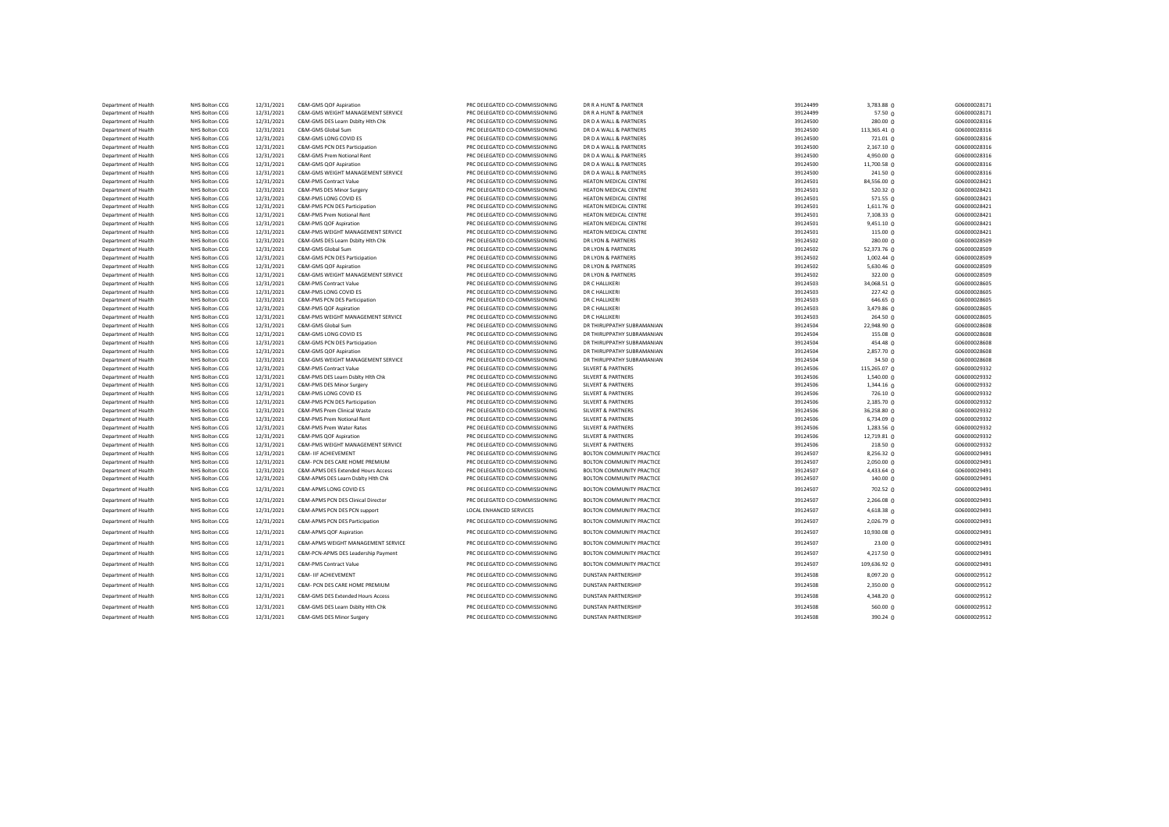| Department of Health                         | NHS Bolton CCG                   | 12/31/2021               | C&M-GMS QOF Aspiration                                      | PRC DELEGATED CO-COMMISSIONING                                   | DR R A HUNT & PARTNER                | 39124499             | 3,783.88 0              | G06000028171                 |
|----------------------------------------------|----------------------------------|--------------------------|-------------------------------------------------------------|------------------------------------------------------------------|--------------------------------------|----------------------|-------------------------|------------------------------|
| Department of Health                         | NHS Bolton CCG                   | 12/31/2021               | C&M-GMS WEIGHT MANAGEMENT SERVICE                           | PRC DELEGATED CO-COMMISSIONING                                   | DR R A HUNT & PARTNER                | 39124499             | 57.50 0                 | G06000028171                 |
| Department of Health                         | NHS Bolton CCG                   | 12/31/2021               | C&M-GMS DES Learn Dsblty Hith Chk                           | PRC DELEGATED CO-COMMISSIONING                                   | DR D A WALL & PARTNERS               | 39124500             | 280.00 0                | G06000028316                 |
| Department of Health                         | NHS Bolton CCG                   | 12/31/2021               | C&M-GMS Global Sum                                          | PRC DELEGATED CO-COMMISSIONING                                   | DR D A WALL & PARTNERS               | 39124500             | 113,365.41 0            | G06000028316                 |
| Department of Health                         | NHS Bolton CCG                   | 12/31/2021               | C&M-GMS LONG COVID ES                                       | PRC DELEGATED CO-COMMISSIONING                                   | DR D A WALL & PARTNERS               | 39124500             | 721.01 0                | G06000028316                 |
| Department of Health                         | NHS Bolton CCG                   | 12/31/2021               | C&M-GMS PCN DES Participation                               | PRC DELEGATED CO-COMMISSIONING                                   | DR D A WALL & PARTNERS               | 39124500             | 2,167.10 0              | G06000028316                 |
| Department of Health                         | NHS Bolton CCG                   | 12/31/2021               | C&M-GMS Prem Notional Rent                                  | PRC DELEGATED CO-COMMISSIONING                                   | DR D A WALL & PARTNERS               | 39124500             | 4,950.00 0              | G06000028316                 |
| Department of Health                         | NHS Bolton CCG                   | 12/31/2021               | C&M-GMS QOF Aspiration                                      | PRC DELEGATED CO-COMMISSIONING                                   | DR D A WALL & PARTNERS               | 39124500             | 11,700.58 0             | G06000028316                 |
| Department of Health                         | NHS Bolton CCG                   | 12/31/2021               | C&M-GMS WEIGHT MANAGEMENT SERVICE                           | PRC DELEGATED CO-COMMISSIONING                                   | DR D A WALL & PARTNERS               | 39124500             | 241.50 0                | G06000028316                 |
| Department of Health                         | NHS Bolton CCG                   | 12/31/2021               | C&M-PMS Contract Value                                      | PRC DELEGATED CO-COMMISSIONING                                   | HEATON MEDICAL CENTRE                | 39124501             | 84,556.00 0             | G06000028421                 |
| Department of Health                         | NHS Bolton CCG                   | 12/31/2021               | C&M-PMS DES Minor Surgery                                   | PRC DELEGATED CO-COMMISSIONING                                   | HEATON MEDICAL CENTRE                | 39124501             | 520.32 <sub>0</sub>     | G06000028421                 |
| Department of Health                         | NHS Bolton CCG                   | 12/31/2021               | C&M-PMS LONG COVID ES                                       | PRC DELEGATED CO-COMMISSIONING                                   | HEATON MEDICAL CENTRE                | 39124501             | 571.55 0                | G06000028421                 |
| Department of Health                         | NHS Bolton CCG                   | 12/31/2021               | C&M-PMS PCN DES Participation                               | PRC DELEGATED CO-COMMISSIONING                                   | HEATON MEDICAL CENTRE                | 39124501             | $1,611.76$ 0            | G06000028421                 |
| Department of Health                         | NHS Bolton CCG                   | 12/31/2021               | C&M-PMS Prem Notional Rent                                  | PRC DELEGATED CO-COMMISSIONING                                   | HEATON MEDICAL CENTRE                | 39124501             | 7,108.33 0              | G06000028421                 |
| Department of Health                         | NHS Bolton CCG                   | 12/31/2021               | C&M-PMS QOF Aspiration                                      | PRC DELEGATED CO-COMMISSIONING                                   | HEATON MEDICAL CENTRE                | 39124501             | 9,451.10 0              | G06000028421                 |
| Department of Health                         | NHS Bolton CCG                   | 12/31/2021               | C&M-PMS WEIGHT MANAGEMENT SERVICE                           | PRC DELEGATED CO-COMMISSIONING                                   | HEATON MEDICAL CENTRE                | 39124501             | 115.000                 | G06000028421                 |
| Department of Health                         | NHS Bolton CCG                   | 12/31/2021               | C&M-GMS DES Learn Dsblty Hith Chk                           | PRC DELEGATED CO-COMMISSIONING                                   | DR LYON & PARTNERS                   | 39124502             | $280.00 \Omega$         | G06000028509                 |
| Department of Health                         | NHS Bolton CCG                   | 12/31/2021               | C&M-GMS Global Sum                                          | PRC DELEGATED CO-COMMISSIONING                                   | DR LYON & PARTNERS                   | 39124502             | 52,373.76 0             | G06000028509                 |
| Department of Health                         | NHS Bolton CCG                   | 12/31/2021               | C&M-GMS PCN DES Participation                               | PRC DELEGATED CO-COMMISSIONING                                   | DR LYON & PARTNERS                   | 39124502             | 1,002.44 0              | G06000028509                 |
| Department of Health                         | NHS Bolton CCG                   | 12/31/2021               | C&M-GMS QOF Aspiration                                      | PRC DELEGATED CO-COMMISSIONING                                   | DR LYON & PARTNERS                   | 39124502             | 5,630.46 $Q$            | G06000028509                 |
| Department of Health<br>Department of Health | NHS Bolton CCG<br>NHS Bolton CCG | 12/31/2021<br>12/31/2021 | C&M-GMS WEIGHT MANAGEMENT SERVICE<br>C&M-PMS Contract Value | PRC DELEGATED CO-COMMISSIONING<br>PRC DELEGATED CO-COMMISSIONING | DR LYON & PARTNERS<br>DR C HALLIKERI | 39124502<br>39124503 | 322.00 0<br>34,068.51 0 | G06000028509<br>G06000028605 |
| Department of Health                         | NHS Bolton CCG                   | 12/31/2021               | C&M-PMS LONG COVID ES                                       | PRC DELEGATED CO-COMMISSIONING                                   | DR C HALLIKERI                       | 39124503             | $227.42 \Omega$         | G06000028605                 |
| Department of Health                         | <b>NHS Bolton CCG</b>            | 12/31/2021               | C&M-PMS PCN DES Participation                               | PRC DELEGATED CO-COMMISSIONING                                   | DR C HALLIKERI                       | 39124503             | 646.65 0                | G06000028605                 |
| Department of Health                         | NHS Bolton CCG                   | 12/31/2021               | C&M-PMS QOF Aspiration                                      | PRC DELEGATED CO-COMMISSIONING                                   | DR C HALLIKERI                       | 39124503             | 3,479.86 0              | G06000028605                 |
| Department of Health                         | NHS Bolton CCG                   | 12/31/2021               | C&M-PMS WEIGHT MANAGEMENT SERVICE                           | PRC DELEGATED CO-COMMISSIONING                                   | DR C HALLIKERI                       | 39124503             | 264.50 0                | G06000028605                 |
| Department of Health                         | NHS Bolton CCG                   | 12/31/2021               | C&M-GMS Global Sum                                          | PRC DELEGATED CO-COMMISSIONING                                   | DR THIRUPPATHY SUBRAMANIAN           | 39124504             | 22,948.90 0             | G06000028608                 |
| Department of Health                         | NHS Bolton CCG                   | 12/31/2021               | C&M-GMS LONG COVID ES                                       | PRC DELEGATED CO-COMMISSIONING                                   | DR THIRUPPATHY SUBRAMANIAN           | 39124504             | 155.08 0                | G06000028608                 |
| Department of Health                         | NHS Bolton CCG                   | 12/31/2021               | C&M-GMS PCN DES Participation                               | PRC DELEGATED CO-COMMISSIONING                                   | DR THIRUPPATHY SUBRAMANIAN           | 39124504             | 454.48 0                | G06000028608                 |
| Department of Health                         | NHS Bolton CCG                   | 12/31/2021               | C&M-GMS QOF Aspiration                                      | PRC DELEGATED CO-COMMISSIONING                                   | DR THIRUPPATHY SUBRAMANIAN           | 39124504             | 2,857.70 0              | G06000028608                 |
| Department of Health                         | <b>NHS Bolton CCG</b>            | 12/31/2021               | C&M-GMS WEIGHT MANAGEMENT SERVICE                           | PRC DELEGATED CO-COMMISSIONING                                   | DR THIRUPPATHY SUBRAMANIAN           | 39124504             | 34.50 0                 | G06000028608                 |
| Department of Health                         | <b>NHS Bolton CCG</b>            | 12/31/2021               | C&M-PMS Contract Value                                      | PRC DELEGATED CO-COMMISSIONING                                   | <b>SILVERT &amp; PARTNERS</b>        | 39124506             | 115,265.07 0            | G06000029332                 |
| Department of Health                         | <b>NHS Bolton CCG</b>            | 12/31/2021               | C&M-PMS DES Learn Dsblty Hlth Chk                           | PRC DELEGATED CO-COMMISSIONING                                   | <b>SILVERT &amp; PARTNERS</b>        | 39124506             | 1,540.00 0              | G06000029332                 |
| Department of Health                         | NHS Bolton CCG                   | 12/31/2021               | C&M-PMS DES Minor Surgery                                   | PRC DELEGATED CO-COMMISSIONING                                   | <b>SILVERT &amp; PARTNERS</b>        | 39124506             | 1,344.16 0              | G06000029332                 |
| Department of Health                         | NHS Bolton CCG                   | 12/31/2021               | C&M-PMS LONG COVID ES                                       | PRC DELEGATED CO-COMMISSIONING                                   | <b>SILVERT &amp; PARTNERS</b>        | 39124506             | 726.10 0                | G06000029332                 |
| Department of Health                         | NHS Bolton CCG                   | 12/31/2021               | C&M-PMS PCN DES Participation                               | PRC DELEGATED CO-COMMISSIONING                                   | <b>SILVERT &amp; PARTNERS</b>        | 39124506             | 2,185.70 0              | G06000029332                 |
| Department of Health                         | NHS Bolton CCG                   | 12/31/2021               | C&M-PMS Prem Clinical Waste                                 | PRC DELEGATED CO-COMMISSIONING                                   | <b>SILVERT &amp; PARTNERS</b>        | 39124506             | 36,258.80 0             | G06000029332                 |
| Department of Health                         | NHS Bolton CCG                   | 12/31/2021               | C&M-PMS Prem Notional Rent                                  | PRC DELEGATED CO-COMMISSIONING                                   | <b>SILVERT &amp; PARTNERS</b>        | 39124506             | 6,734.09 0              | G06000029332                 |
| Department of Health                         | NHS Bolton CCG                   | 12/31/2021               | C&M-PMS Prem Water Rates                                    | PRC DELEGATED CO-COMMISSIONING                                   | <b>SILVERT &amp; PARTNERS</b>        | 39124506             | 1,283.56 0              | G06000029332                 |
| Department of Health                         | NHS Bolton CCG                   | 12/31/2021               | C&M-PMS QOF Aspiration                                      | PRC DELEGATED CO-COMMISSIONING                                   | <b>SILVERT &amp; PARTNERS</b>        | 39124506             | 12,719.81 0             | G06000029332                 |
| Department of Health                         | NHS Bolton CCG                   | 12/31/2021               | C&M-PMS WEIGHT MANAGEMENT SERVICE                           | PRC DELEGATED CO-COMMISSIONING                                   | <b>SILVERT &amp; PARTNERS</b>        | 39124506             | $218.50 \Omega$         | G06000029332                 |
| Department of Health                         | NHS Bolton CCG                   | 12/31/2021               | <b>C&amp;M- IIF ACHIEVEMENT</b>                             | PRC DELEGATED CO-COMMISSIONING                                   | BOLTON COMMUNITY PRACTICE            | 39124507             | 8,256.32 0              | G06000029491                 |
| Department of Health                         | NHS Bolton CCG                   | 12/31/2021               | C&M- PCN DES CARE HOME PREMIUM                              | PRC DELEGATED CO-COMMISSIONING                                   | BOLTON COMMUNITY PRACTICE            | 39124507             | 2,050.00 0              | G06000029491                 |
| Department of Health                         | NHS Bolton CCG                   | 12/31/2021               | C&M-APMS DES Extended Hours Access                          | PRC DELEGATED CO-COMMISSIONING                                   | <b>BOLTON COMMUNITY PRACTICE</b>     | 39124507             | 4,433.64 0              | G06000029491                 |
| Department of Health                         | NHS Bolton CCG                   | 12/31/2021               | C&M-APMS DES Learn Dsblty Hlth Chk                          | PRC DELEGATED CO-COMMISSIONING                                   | BOLTON COMMUNITY PRACTICE            | 39124507             | 140.00 0                | G06000029491                 |
| Department of Health                         | NHS Bolton CCG                   | 12/31/2021               | C&M-APMS LONG COVID ES                                      | PRC DELEGATED CO-COMMISSIONING                                   | <b>BOLTON COMMUNITY PRACTICE</b>     | 39124507             | 702.52 0                | G06000029491                 |
| Department of Health                         | NHS Bolton CCG                   | 12/31/2021               | C&M-APMS PCN DES Clinical Director                          | PRC DELEGATED CO-COMMISSIONING                                   | <b>BOLTON COMMUNITY PRACTICE</b>     | 39124507             | 2,266.08 0              | G06000029491                 |
| Department of Health                         | NHS Bolton CCG                   | 12/31/2021               | C&M-APMS PCN DES PCN support                                | LOCAL ENHANCED SERVICES                                          | BOLTON COMMUNITY PRACTICE            | 39124507             | 4,618.38 0              | G06000029491                 |
| Department of Health                         | NHS Bolton CCG                   | 12/31/2021               | C&M-APMS PCN DES Participation                              | PRC DELEGATED CO-COMMISSIONING                                   | <b>BOLTON COMMUNITY PRACTICE</b>     | 39124507             | 2,026.79 0              | G06000029491                 |
| Department of Health                         | NHS Bolton CCG                   | 12/31/2021               | C&M-APMS QOF Aspiration                                     | PRC DELEGATED CO-COMMISSIONING                                   | <b>BOLTON COMMUNITY PRACTICE</b>     | 39124507             | 10,930.08 0             | G06000029491                 |
|                                              |                                  |                          |                                                             | PRC DELEGATED CO-COMMISSIONING                                   | BOLTON COMMUNITY PRACTICE            |                      |                         |                              |
| Department of Health                         | NHS Bolton CCG                   | 12/31/2021               | C&M-APMS WEIGHT MANAGEMENT SERVICE                          |                                                                  |                                      | 39124507             | 23.00 0                 | G06000029491                 |
| Department of Health                         | NHS Bolton CCG                   | 12/31/2021               | C&M-PCN-APMS DES Leadership Payment                         | PRC DELEGATED CO-COMMISSIONING                                   | <b>BOLTON COMMUNITY PRACTICE</b>     | 39124507             | 4,217.50 0              | G06000029491                 |
| Department of Health                         | NHS Bolton CCG                   | 12/31/2021               | C&M-PMS Contract Value                                      | PRC DELEGATED CO-COMMISSIONING                                   | <b>BOLTON COMMUNITY PRACTICE</b>     | 39124507             | 109,636.92 0            | G06000029491                 |
| Department of Health                         | <b>NHS Bolton CCG</b>            | 12/31/2021               | C&M- IIF ACHIEVEMENT                                        | PRC DELEGATED CO-COMMISSIONING                                   | <b>DUNSTAN PARTNERSHIP</b>           | 39124508             | 8,097.20 0              | G06000029512                 |
| Department of Health                         | NHS Bolton CCG                   | 12/31/2021               | C&M- PCN DES CARE HOME PREMIUM                              | PRC DELEGATED CO-COMMISSIONING                                   | <b>DUNSTAN PARTNERSHIP</b>           | 39124508             | 2,350.00 0              | G06000029512                 |
| Department of Health                         | <b>NHS Bolton CCG</b>            | 12/31/2021               | C&M-GMS DES Extended Hours Access                           | PRC DELEGATED CO-COMMISSIONING                                   | <b>DUNSTAN PARTNERSHIP</b>           | 39124508             | 4,348.20 0              | G06000029512                 |
| Department of Health                         | NHS Bolton CCG                   | 12/31/2021               | C&M-GMS DES Learn Dsbltv Hlth Chk                           | PRC DELEGATED CO-COMMISSIONING                                   | <b>DUNSTAN PARTNERSHIP</b>           | 39124508             | 560.00 0                | G06000029512                 |
| Department of Health                         | NHS Bolton CCG                   | 12/31/2021               | C&M-GMS DES Minor Surgery                                   | PRC DELEGATED CO-COMMISSIONING                                   | <b>DUNSTAN PARTNERSHIP</b>           | 39124508             | 390.24 0                | G06000029512                 |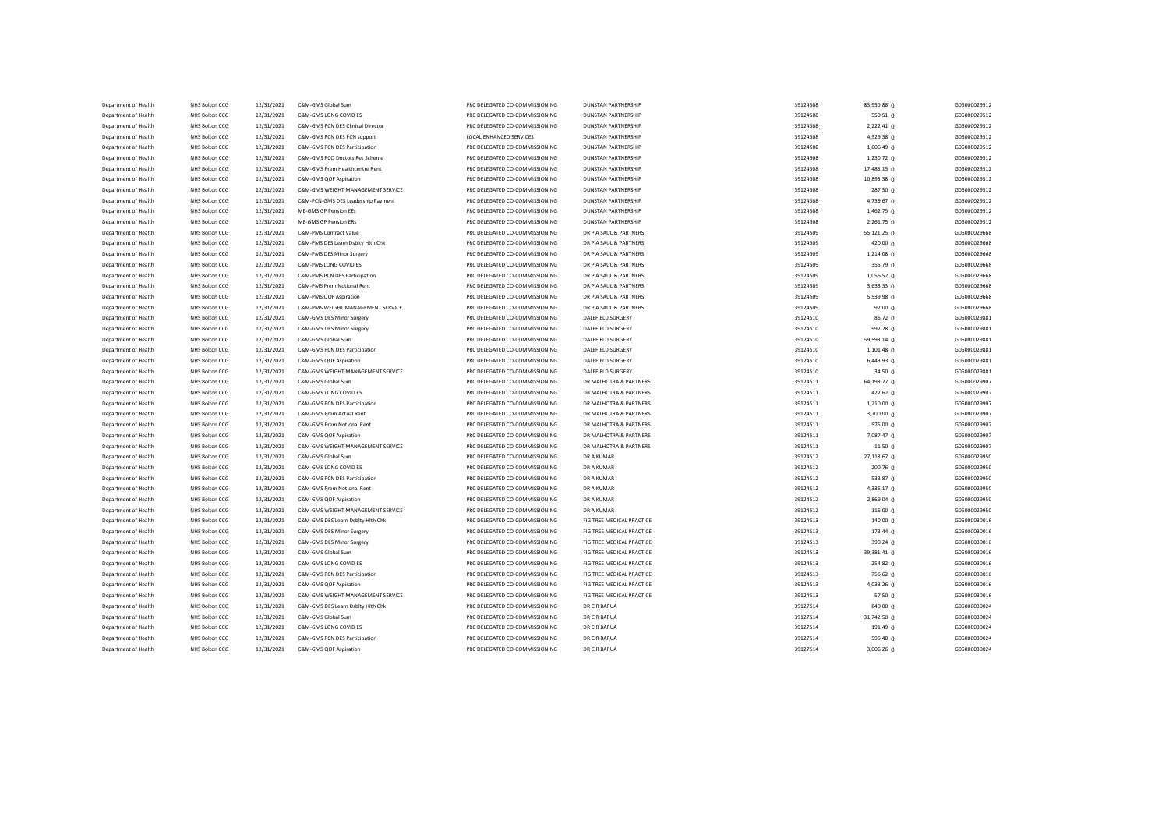| Department of Health | NHS Bolton CCG | 12/31/2021 | C&M-GMS Global Sum                 | PRC DELEGATED CO-COMMISSIONING | <b>DUNSTAN PARTNERSHIP</b> | 39124508 | 83,950.88 0         | G06000029512 |
|----------------------|----------------|------------|------------------------------------|--------------------------------|----------------------------|----------|---------------------|--------------|
| Department of Health | NHS Bolton CCG | 12/31/2021 | C&M-GMS LONG COVID ES              | PRC DELEGATED CO-COMMISSIONING | <b>DUNSTAN PARTNERSHIP</b> | 39124508 | 550.51 0            | G06000029512 |
| Department of Health | NHS Bolton CCG | 12/31/2021 | C&M-GMS PCN DES Clinical Director  | PRC DELEGATED CO-COMMISSIONING | <b>DUNSTAN PARTNERSHIP</b> | 39124508 | 2,222.41 0          | G06000029512 |
| Department of Health | NHS Bolton CCG | 12/31/2021 | C&M-GMS PCN DES PCN support        | LOCAL ENHANCED SERVICES        | <b>DUNSTAN PARTNERSHIP</b> | 39124508 | 4,529.38 0          | G06000029512 |
| Department of Health | NHS Bolton CCG | 12/31/2021 | C&M-GMS PCN DES Participation      | PRC DELEGATED CO-COMMISSIONING | <b>DUNSTAN PARTNERSHIP</b> | 39124508 | 1,606.49 0          | G06000029512 |
| Department of Health | NHS Bolton CCG | 12/31/2021 | C&M-GMS PCO Doctors Ret Scheme     | PRC DELEGATED CO-COMMISSIONING | <b>DUNSTAN PARTNERSHIP</b> | 39124508 | 1,230.72 0          | G06000029512 |
| Department of Health | NHS Bolton CCG | 12/31/2021 | C&M-GMS Prem Healthcentre Rent     | PRC DELEGATED CO-COMMISSIONING | <b>DUNSTAN PARTNERSHIP</b> | 39124508 | 17,485.15 0         | G06000029512 |
| Department of Health | NHS Bolton CCG | 12/31/2021 | C&M-GMS QOF Aspiration             | PRC DELEGATED CO-COMMISSIONING | <b>DUNSTAN PARTNERSHIP</b> | 39124508 | 10,893.38 0         | G06000029512 |
| Department of Health | NHS Bolton CCG | 12/31/2021 | C&M-GMS WEIGHT MANAGEMENT SERVICE  | PRC DELEGATED CO-COMMISSIONING | <b>DUNSTAN PARTNERSHIP</b> | 39124508 | 287.50 0            | G06000029512 |
| Department of Health | NHS Bolton CCG | 12/31/2021 | C&M-PCN-GMS DES Leadership Payment | PRC DELEGATED CO-COMMISSIONING | <b>DUNSTAN PARTNERSHIP</b> | 39124508 | 4,739.67 0          | G06000029512 |
| Department of Health | NHS Bolton CCG | 12/31/2021 | ME-GMS GP Pension EEs              | PRC DELEGATED CO-COMMISSIONING | <b>DUNSTAN PARTNERSHIP</b> | 39124508 | $1,462.75$ 0        | G06000029512 |
| Department of Health | NHS Bolton CCG | 12/31/2021 | ME-GMS GP Pension ERs              | PRC DELEGATED CO-COMMISSIONING | <b>DUNSTAN PARTNERSHIP</b> | 39124508 | 2,261.75 0          | G06000029512 |
| Department of Health | NHS Bolton CCG | 12/31/2021 | C&M-PMS Contract Value             | PRC DELEGATED CO-COMMISSIONING | DR P A SAUL & PARTNERS     | 39124509 | 55,121.25 0         | G06000029668 |
| Department of Health | NHS Bolton CCG | 12/31/2021 | C&M-PMS DES Learn Dsblty Hlth Chk  | PRC DELEGATED CO-COMMISSIONING | DR P A SAUL & PARTNERS     | 39124509 | 420.00 0            | G06000029668 |
| Department of Health | NHS Bolton CCG | 12/31/2021 | C&M-PMS DES Minor Surgery          | PRC DELEGATED CO-COMMISSIONING | DR P A SAUL & PARTNERS     | 39124509 | 1,214.08 0          | G06000029668 |
| Department of Health | NHS Bolton CCG | 12/31/2021 | C&M-PMS LONG COVID ES              | PRC DELEGATED CO-COMMISSIONING | DR P A SAUL & PARTNERS     | 39124509 | 355.79 0            | G06000029668 |
| Department of Health | NHS Bolton CCG | 12/31/2021 | C&M-PMS PCN DES Participation      | PRC DELEGATED CO-COMMISSIONING | DR P A SAUL & PARTNERS     | 39124509 | 1,056.52 0          | G06000029668 |
| Department of Health | NHS Bolton CCG | 12/31/2021 | C&M-PMS Prem Notional Rent         | PRC DELEGATED CO-COMMISSIONING | DR P A SAUL & PARTNERS     | 39124509 | 3,633.33 0          | G06000029668 |
| Department of Health | NHS Bolton CCG | 12/31/2021 | C&M-PMS QOF Aspiration             | PRC DELEGATED CO-COMMISSIONING | DR P A SAUL & PARTNERS     | 39124509 | 5,539.98 0          | G06000029668 |
| Department of Health | NHS Bolton CCG | 12/31/2021 | C&M-PMS WEIGHT MANAGEMENT SERVICE  | PRC DELEGATED CO-COMMISSIONING | DR P A SAUL & PARTNERS     | 39124509 | 92.00 0             | G06000029668 |
| Department of Health | NHS Bolton CCG | 12/31/2021 | C&M-GMS DES Minor Surgery          | PRC DELEGATED CO-COMMISSIONING | DALEFIELD SURGERY          | 39124510 | 86.72 <sub>0</sub>  | G06000029881 |
| Department of Health | NHS Bolton CCG | 12/31/2021 | C&M-GMS DES Minor Surgery          | PRC DELEGATED CO-COMMISSIONING | DALEFIELD SURGERY          | 39124510 | 997.28 0            | G06000029881 |
| Department of Health | NHS Bolton CCG | 12/31/2021 | C&M-GMS Global Sum                 | PRC DELEGATED CO-COMMISSIONING | <b>DALEFIELD SURGERY</b>   | 39124510 | 59,593.14 0         | G06000029881 |
| Department of Health | NHS Bolton CCG | 12/31/2021 | C&M-GMS PCN DES Participation      | PRC DELEGATED CO-COMMISSIONING | DALEFIELD SURGERY          | 39124510 | $1,101.48$ 0        | G06000029881 |
| Department of Health | NHS Bolton CCG | 12/31/2021 | C&M-GMS QOF Aspiration             | PRC DELEGATED CO-COMMISSIONING | <b>DALEFIELD SURGERY</b>   | 39124510 | $6,443.93$ 0        | G06000029881 |
| Department of Health | NHS Bolton CCG | 12/31/2021 | C&M-GMS WEIGHT MANAGEMENT SERVICE  | PRC DELEGATED CO-COMMISSIONING | DALEFIELD SURGERY          | 39124510 | 34.50 0             | G06000029881 |
| Department of Health | NHS Bolton CCG | 12/31/2021 | C&M-GMS Global Sum                 | PRC DELEGATED CO-COMMISSIONING | DR MALHOTRA & PARTNERS     | 39124511 | 64,198.77 0         | G06000029907 |
| Department of Health | NHS Bolton CCG | 12/31/2021 | C&M-GMS LONG COVID ES              | PRC DELEGATED CO-COMMISSIONING | DR MALHOTRA & PARTNERS     | 39124511 | 422.62 0            | G06000029907 |
| Department of Health | NHS Bolton CCG | 12/31/2021 | C&M-GMS PCN DES Participation      | PRC DELEGATED CO-COMMISSIONING | DR MALHOTRA & PARTNERS     | 39124511 | $1,210.00$ 0        | G06000029907 |
| Department of Health | NHS Bolton CCG | 12/31/2021 | C&M-GMS Prem Actual Rent           | PRC DELEGATED CO-COMMISSIONING | DR MALHOTRA & PARTNERS     | 39124511 | 3,700.00 0          | G06000029907 |
| Department of Health | NHS Bolton CCG | 12/31/2021 | C&M-GMS Prem Notional Rent         | PRC DELEGATED CO-COMMISSIONING | DR MALHOTRA & PARTNERS     | 39124511 | 575.00 <sub>0</sub> | G06000029907 |
| Department of Health | NHS Bolton CCG | 12/31/2021 | C&M-GMS QOF Aspiration             | PRC DELEGATED CO-COMMISSIONING | DR MALHOTRA & PARTNERS     | 39124511 | 7,087.47 0          | G06000029907 |
| Department of Health | NHS Bolton CCG | 12/31/2021 | C&M-GMS WEIGHT MANAGEMENT SERVICE  | PRC DELEGATED CO-COMMISSIONING | DR MALHOTRA & PARTNERS     | 39124511 | 11.500              | G06000029907 |
| Department of Health | NHS Bolton CCG | 12/31/2021 | C&M-GMS Global Sum                 | PRC DELEGATED CO-COMMISSIONING | DR A KUMAR                 | 39124512 | 27,118.67 0         | G06000029950 |
| Department of Health | NHS Bolton CCG | 12/31/2021 | C&M-GMS LONG COVID ES              | PRC DELEGATED CO-COMMISSIONING | DR A KUMAR                 | 39124512 | 200.76 0            | G06000029950 |
| Department of Health | NHS Bolton CCG | 12/31/2021 | C&M-GMS PCN DES Participation      | PRC DELEGATED CO-COMMISSIONING | <b>DR A KUMAR</b>          | 39124512 | 533.87 0            | G06000029950 |
| Department of Health | NHS Bolton CCG | 12/31/2021 | C&M-GMS Prem Notional Rent         | PRC DELEGATED CO-COMMISSIONING | <b>DR A KUMAR</b>          | 39124512 | 4,335.17 0          | G06000029950 |
| Department of Health | NHS Bolton CCG | 12/31/2021 | C&M-GMS QOF Aspiration             | PRC DELEGATED CO-COMMISSIONING | <b>DR A KUMAR</b>          | 39124512 | 2,869.04 0          | G06000029950 |
| Department of Health | NHS Bolton CCG | 12/31/2021 | C&M-GMS WEIGHT MANAGEMENT SERVICE  | PRC DELEGATED CO-COMMISSIONING | <b>DR A KUMAR</b>          | 39124512 | 115.00 0            | G06000029950 |
| Department of Health | NHS Bolton CCG | 12/31/2021 | C&M-GMS DES Learn Dsblty Hith Chk  | PRC DELEGATED CO-COMMISSIONING | FIG TREE MEDICAL PRACTICE  | 39124513 | 140.00 <sub>0</sub> | G06000030016 |
| Department of Health | NHS Bolton CCG | 12/31/2021 | C&M-GMS DES Minor Surgery          | PRC DELEGATED CO-COMMISSIONING | FIG TREE MEDICAL PRACTICE  | 39124513 | 173.44 0            | G06000030016 |
| Department of Health | NHS Bolton CCG | 12/31/2021 | C&M-GMS DES Minor Surgery          | PRC DELEGATED CO-COMMISSIONING | FIG TREE MEDICAL PRACTICE  | 39124513 | 390.24 0            | G06000030016 |
| Department of Health | NHS Bolton CCG | 12/31/2021 | C&M-GMS Global Sum                 | PRC DELEGATED CO-COMMISSIONING | FIG TREE MEDICAL PRACTICE  | 39124513 | 39,381.41 0         | G06000030016 |
| Department of Health | NHS Bolton CCG | 12/31/2021 | C&M-GMS LONG COVID ES              | PRC DELEGATED CO-COMMISSIONING | FIG TREE MEDICAL PRACTICE  | 39124513 | 254.82 0            | G06000030016 |
| Department of Health | NHS Bolton CCG | 12/31/2021 | C&M-GMS PCN DES Participation      | PRC DELEGATED CO-COMMISSIONING | FIG TREE MEDICAL PRACTICE  | 39124513 | 756.62 0            | G06000030016 |
| Department of Health | NHS Bolton CCG | 12/31/2021 | C&M-GMS QOF Aspiration             | PRC DELEGATED CO-COMMISSIONING | FIG TREE MEDICAL PRACTICE  | 39124513 | 4,033.26 0          | G06000030016 |
| Department of Health | NHS Bolton CCG | 12/31/2021 | C&M-GMS WEIGHT MANAGEMENT SERVICE  | PRC DELEGATED CO-COMMISSIONING | FIG TREE MEDICAL PRACTICE  | 39124513 | 57.50 0             | G06000030016 |
| Department of Health | NHS Bolton CCG | 12/31/2021 | C&M-GMS DES Learn Dsblty Hlth Chk  | PRC DELEGATED CO-COMMISSIONING | DR C R BARUA               | 39127514 | 840.00 0            | G06000030024 |
| Department of Health | NHS Bolton CCG | 12/31/2021 | C&M-GMS Global Sum                 | PRC DELEGATED CO-COMMISSIONING | DR C R BARUA               | 39127514 | 31,742.50 0         | G06000030024 |
| Department of Health | NHS Bolton CCG | 12/31/2021 | C&M-GMS LONG COVID ES              | PRC DELEGATED CO-COMMISSIONING | DR C R BARUA               | 39127514 | 191.49 0            | G06000030024 |
| Department of Health | NHS Bolton CCG | 12/31/2021 | C&M-GMS PCN DES Participation      | PRC DELEGATED CO-COMMISSIONING | DR C R BARUA               | 39127514 | 595.48 0            | G06000030024 |
| Department of Health | NHS Bolton CCG | 12/31/2021 | C&M-GMS QOF Aspiration             | PRC DELEGATED CO-COMMISSIONING | DR C R BARUA               | 39127514 | 3,006.26 0          | G06000030024 |
|                      |                |            |                                    |                                |                            |          |                     |              |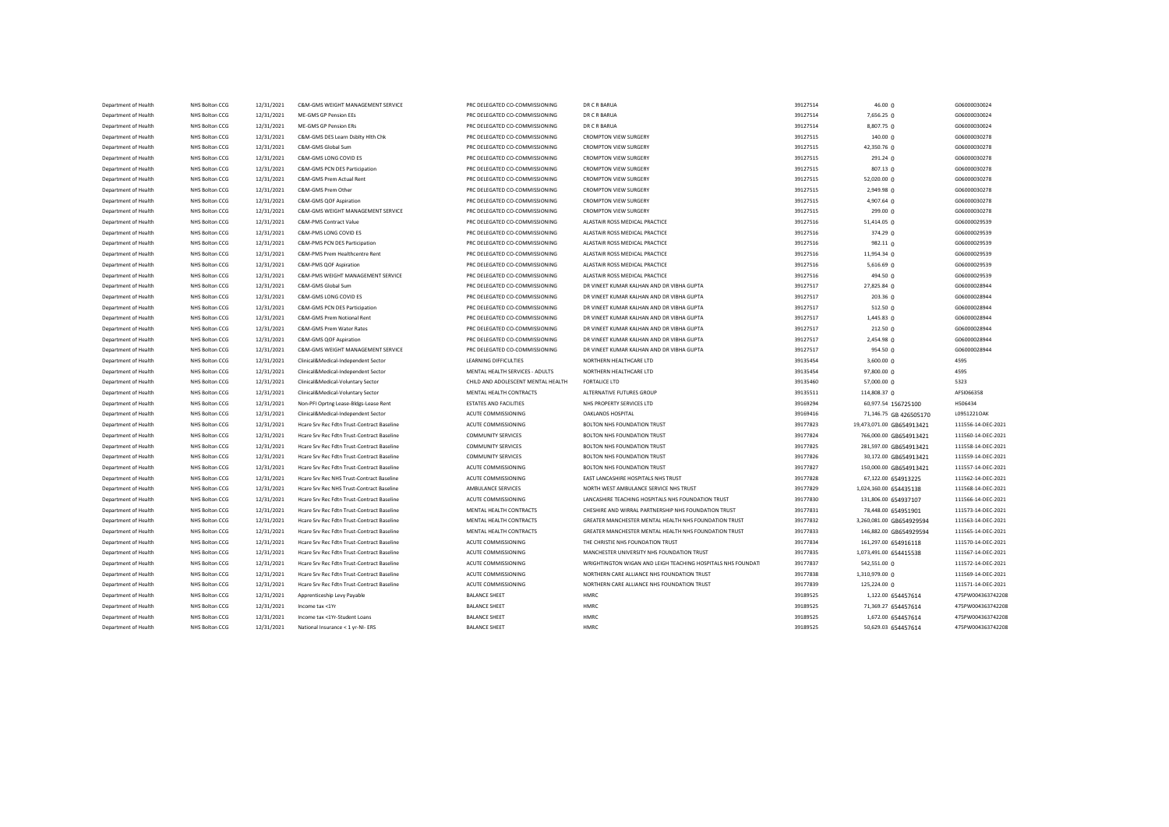| Department of Health | NHS Bolton CCG        | 12/31/2021 | C&M-GMS WEIGHT MANAGEMENT SERVICE          | PRC DELEGATED CO-COMMISSIONING     | DR C R BARUA                                                 | 39127514 | 46.00 <sub>0</sub>                        | G06000030024       |
|----------------------|-----------------------|------------|--------------------------------------------|------------------------------------|--------------------------------------------------------------|----------|-------------------------------------------|--------------------|
| Department of Health | NHS Bolton CCG        | 12/31/2021 | MF-GMS GP Pension FFs                      | PRC DELEGATED CO-COMMISSIONING     | DR C R BARUA                                                 | 39127514 | 7,656.25 0                                | G06000030024       |
| Department of Health | NHS Bolton CCG        | 12/31/2021 | ME-GMS GP Pension ERs                      | PRC DELEGATED CO-COMMISSIONING     | DR C R BARUA                                                 | 39127514 | 8,807.75 0                                | G06000030024       |
| Department of Health | NHS Bolton CCG        | 12/31/2021 | C&M-GMS DES Learn Dsblty Hlth Chk          | PRC DELEGATED CO-COMMISSIONING     | <b>CROMPTON VIEW SURGERY</b>                                 | 39127515 | 140.00 0                                  | G06000030278       |
| Department of Health | NHS Bolton CCG        | 12/31/2021 | C&M-GMS Global Sum                         | PRC DELEGATED CO-COMMISSIONING     | <b>CROMPTON VIEW SURGERY</b>                                 | 39127515 | 42,350.76 0                               | G06000030278       |
| Department of Health | NHS Bolton CCG        | 12/31/2021 | C&M-GMS LONG COVID ES                      | PRC DELEGATED CO-COMMISSIONING     | <b>CROMPTON VIEW SURGERY</b>                                 | 39127515 | 291.24 0                                  | G06000030278       |
| Department of Health | NHS Bolton CCG        | 12/31/2021 | C&M-GMS PCN DES Participation              | PRC DELEGATED CO-COMMISSIONING     | <b>CROMPTON VIEW SURGERY</b>                                 | 39127515 | 807.13 <sub>0</sub>                       | G06000030278       |
| Department of Health | NHS Bolton CCG        | 12/31/2021 | C&M-GMS Prem Actual Rent                   | PRC DELEGATED CO-COMMISSIONING     | <b>CROMPTON VIEW SURGERY</b>                                 | 39127515 | 52,020.00 0                               | G06000030278       |
| Department of Health | NHS Bolton CCG        | 12/31/2021 | C&M-GMS Prem Other                         | PRC DELEGATED CO-COMMISSIONING     | <b>CROMPTON VIEW SURGERY</b>                                 | 39127515 | 2,949.98 0                                | G06000030278       |
| Department of Health | NHS Bolton CCG        | 12/31/2021 | C&M-GMS QOF Aspiration                     | PRC DELEGATED CO-COMMISSIONING     | <b>CROMPTON VIEW SURGERY</b>                                 | 39127515 | 4,907.64 0                                | G06000030278       |
| Department of Health | NHS Bolton CCG        | 12/31/2021 | C&M-GMS WEIGHT MANAGEMENT SERVICE          | PRC DELEGATED CO-COMMISSIONING     | <b>CROMPTON VIEW SURGERY</b>                                 | 39127515 | $299.00 \Omega$                           | G06000030278       |
| Denartment of Health | NHS Bolton CCG        | 12/31/2021 | C&M-PMS Contract Value                     | PRC DELEGATED CO-COMMISSIONING     | ALASTAIR ROSS MEDICAL PRACTICE                               | 39127516 | 51,414.05 0                               | G06000029539       |
| Department of Health | NHS Bolton CCG        | 12/31/2021 | C&M-PMS LONG COVID ES                      | PRC DELEGATED CO-COMMISSIONING     | ALASTAIR ROSS MEDICAL PRACTICE                               | 39127516 | 374.29 <sub>0</sub>                       | G06000029539       |
| Denartment of Health | NHS Bolton CCG        | 12/31/2021 | C&M-PMS PCN DES Participation              | PRC DELEGATED CO-COMMISSIONING     | ALASTAIR ROSS MEDICAL PRACTICE                               | 39127516 | 982.11 0                                  | G06000029539       |
| Department of Health | NHS Bolton CCG        | 12/31/2021 | C&M-PMS Prem Healthcentre Rent             | PRC DELEGATED CO-COMMISSIONING     | ALASTAIR ROSS MEDICAL PRACTICE                               | 39127516 | 11,954.34 0                               | G06000029539       |
| Denartment of Health | NHS Bolton CCG        | 12/31/2021 | C&M-PMS QOF Aspiration                     | PRC DELEGATED CO-COMMISSIONING     | ALASTAIR ROSS MEDICAL PRACTICE                               | 39127516 | 5,616.69 0                                | G06000029539       |
| Department of Health | NHS Bolton CCG        | 12/31/2021 | C&M-PMS WEIGHT MANAGEMENT SERVICE          | PRC DELEGATED CO-COMMISSIONING     | ALASTAIR ROSS MEDICAL PRACTICE                               | 39127516 | 494.50 $n$                                | G06000029539       |
| Department of Health | NHS Bolton CCG        | 12/31/2021 | C&M-GMS Global Sum                         | PRC DELEGATED CO-COMMISSIONING     | DR VINEET KUMAR KALHAN AND DR VIBHA GUPTA                    | 39127517 | 27,825.84 0                               | G06000028944       |
| Department of Health | NHS Bolton CCG        | 12/31/2021 | C&M-GMS LONG COVID ES                      | PRC DELEGATED CO-COMMISSIONING     | DR VINEET KUMAR KALHAN AND DR VIBHA GUPTA                    | 39127517 | 203.36 <sub>0</sub>                       | G06000028944       |
| Department of Health | NHS Bolton CCG        | 12/31/2021 | C&M-GMS PCN DES Participation              | PRC DELEGATED CO-COMMISSIONING     | DR VINEET KUMAR KALHAN AND DR VIBHA GUPTA                    | 39127517 | 512.50 0                                  | G06000028944       |
| Department of Health | NHS Bolton CCG        | 12/31/2021 | C&M-GMS Prem Notional Rent                 | PRC DELEGATED CO-COMMISSIONING     | DR VINEET KUMAR KALHAN AND DR VIBHA GUPTA                    | 39127517 | $1,445.83$ 0                              | G06000028944       |
| Department of Health | NHS Bolton CCG        | 12/31/2021 | C&M-GMS Prem Water Rates                   | PRC DELEGATED CO-COMMISSIONING     | DR VINEET KUMAR KALHAN AND DR VIBHA GUPTA                    | 39127517 | 212.50 0                                  | G06000028944       |
| Department of Health | NHS Bolton CCG        | 12/31/2021 | C&M-GMS QOF Aspiration                     | PRC DELEGATED CO-COMMISSIONING     | DR VINEET KUMAR KALHAN AND DR VIBHA GUPTA                    | 39127517 | 2,454.98 0                                | G06000028944       |
| Department of Health | NHS Bolton CCG        | 12/31/2021 | C&M-GMS WEIGHT MANAGEMENT SERVICE          | PRC DELEGATED CO-COMMISSIONING     | DR VINEET KUMAR KALHAN AND DR VIBHA GUPTA                    | 39127517 | $954.50 \Omega$                           | G06000028944       |
| Department of Health | NHS Bolton CCG        | 12/31/2021 | Clinical&Medical-Independent Sector        | LEARNING DIFFICULTIES              | NORTHERN HEALTHCARE LTD                                      | 39135454 | $3,600.00$ $\Omega$                       | 4595               |
| Department of Health | NHS Bolton CCG        | 12/31/2021 | Clinical&Medical-Independent Sector        | MENTAL HEALTH SERVICES - ADULTS    | NORTHERN HEALTHCARE LTD                                      | 39135454 | 97,800.00 0                               | 4595               |
| Department of Health | NHS Bolton CCG        | 12/31/2021 | Clinical&Medical-Voluntary Sector          | CHILD AND ADOLESCENT MENTAL HEALTH | <b>FORTALICE LTD</b>                                         | 39135460 | 57,000.00 0                               | 5323               |
| Department of Health | NHS Bolton CCG        | 12/31/2021 | Clinical&Medical-Voluntary Sector          | MENTAL HEALTH CONTRACTS            | ALTERNATIVE FUTURES GROUP                                    | 39135511 | 114,808.37 0                              | AFSI066358         |
| Department of Health | NHS Bolton CCG        | 12/31/2021 | Non-PFI Oprtng Lease-Bldgs-Lease Rent      | <b>ESTATES AND FACILITIES</b>      | NHS PROPERTY SERVICES LTD                                    | 39169294 | 60,977.54 156725100                       | H506434            |
| Department of Health | NHS Bolton CCG        | 12/31/2021 | Clinical&Medical-Independent Sector        | ACUTE COMMISSIONING                | OAKLANDS HOSPITAL                                            | 39169416 | 71,146.75 GB 426505170                    | L0951221OAK        |
| Department of Health | NHS Bolton CCG        | 12/31/2021 | Hcare Srv Rec Fdtn Trust-Contract Baseline | ACUTE COMMISSIONING                | BOLTON NHS FOUNDATION TRUST                                  | 39177823 | 19,473,071.00 GB654913421                 | 111556-14-DEC-2021 |
| Department of Health | NHS Bolton CCG        | 12/31/2021 | Hcare Srv Rec Fdtn Trust-Contract Baseline | COMMUNITY SERVICES                 | BOLTON NHS FOUNDATION TRUST                                  | 39177824 | 766,000.00 GB654913421                    | 111560-14-DEC-2021 |
| Department of Health | NHS Bolton CCG        | 12/31/2021 | Hcare Srv Rec Fdtn Trust-Contract Baseline | <b>COMMUNITY SERVICES</b>          | BOLTON NHS FOUNDATION TRUST                                  | 39177825 | 281,597.00 GB654913421                    | 111558-14-DEC-2021 |
| Department of Health | NHS Bolton CCG        | 12/31/2021 | Hcare Srv Rec Fdtn Trust-Contract Baseline | COMMUNITY SERVICES                 | BOLTON NHS FOUNDATION TRUST                                  | 39177826 | 30,172.00 GB654913421                     | 111559-14-DEC-2021 |
| Department of Health | NHS Bolton CCG        | 12/31/2021 | Hcare Srv Rec Fdtn Trust-Contract Baseline | ACUTE COMMISSIONING                | BOLTON NHS FOUNDATION TRUST                                  | 39177827 | 150,000.00 GB654913421                    | 111557-14-DEC-2021 |
| Department of Health | NHS Bolton CCG        | 12/31/2021 | Hcare Srv Rec NHS Trust-Contract Baseline  | ACUTE COMMISSIONING                | EAST LANCASHIRE HOSPITALS NHS TRUST                          | 39177828 | 67,122.00 654913225                       | 111562-14-DEC-2021 |
| Department of Health | NHS Bolton CCG        | 12/31/2021 | Hcare Srv Rec NHS Trust-Contract Baseline  | AMBULANCE SERVICES                 | NORTH WEST AMBULANCE SERVICE NHS TRUST                       | 39177829 | 1,024,160.00 654435138                    | 111568-14-DEC-2021 |
| Department of Health | <b>NHS Bolton CCG</b> | 12/31/2021 | Hcare Srv Rec Fdtn Trust-Contract Baseline | <b>ACUTE COMMISSIONING</b>         | LANCASHIRE TEACHING HOSPITALS NHS FOUNDATION TRUST           | 39177830 | 131,806.00 654937107                      | 111566-14-DEC-2021 |
| Department of Health | NHS Bolton CCG        | 12/31/2021 | Hcare Srv Rec Fdtn Trust-Contract Baseline | MENTAL HEALTH CONTRACTS            | CHESHIRE AND WIRRAL PARTNERSHIP NHS FOUNDATION TRUST         | 39177831 | 78,448.00 654951901                       | 111573-14-DEC-2021 |
| Department of Health | <b>NHS Bolton CCG</b> | 12/31/2021 | Hcare Srv Rec Fdtn Trust-Contract Baseline | MENTAL HEALTH CONTRACTS            | GREATER MANCHESTER MENTAL HEALTH NHS FOUNDATION TRUST        | 39177832 | 3,260,081.00 GB654929594                  | 111563-14-DEC-2021 |
| Department of Health | NHS Bolton CCG        | 12/31/2021 | Hcare Srv Rec Fdtn Trust-Contract Baseline | MENTAL HEALTH CONTRACTS            | GREATER MANCHESTER MENTAL HEALTH NHS FOUNDATION TRUST        | 39177833 | 146,882.00 GB654929594                    | 111565-14-DEC-2021 |
| Department of Health | <b>NHS Bolton CCG</b> | 12/31/2021 | Hcare Srv Rec Fdtn Trust-Contract Baseline | <b>ACUTE COMMISSIONING</b>         | THE CHRISTIE NHS EQUINDATION TRUST                           | 39177834 | 161,297.00 654916118                      | 111570-14-DEC-2021 |
| Department of Health | NHS Bolton CCG        | 12/31/2021 | Hcare Srv Rec Fdtn Trust-Contract Baseline | ACUTE COMMISSIONING                | MANCHESTER UNIVERSITY NHS FOUNDATION TRUST                   | 39177835 | 1,073,491.00 654415538                    | 111567-14-DEC-2021 |
| Department of Health | <b>NHS Bolton CCG</b> | 12/31/2021 | Hcare Srv Rec Fdtn Trust-Contract Baseline | ACUTE COMMISSIONING                | WRIGHTINGTON WIGAN AND LEIGH TEACHING HOSPITALS NHS FOUNDATI | 39177837 | 542,551.00 0                              | 111572-14-DEC-2021 |
| Department of Health | NHS Bolton CCG        | 12/31/2021 | Hcare Srv Rec Fdtn Trust-Contract Baseline | ACUTE COMMISSIONING                | NORTHERN CARE ALLIANCE NHS FOUNDATION TRUST                  | 39177838 | 1,310,979.00 0                            | 111569-14-DEC-2021 |
| Department of Health | NHS Bolton CCG        | 12/31/2021 | Hoare Sry Rec Edtn Trust-Contract Baseline | ACUTE COMMISSIONING                | NORTHERN CARE ALLIANCE NHS FOUNDATION TRUST                  | 39177839 | 125,224.00 0                              | 111571-14-DEC-2021 |
| Department of Health | NHS Bolton CCG        | 12/31/2021 | Apprenticeship Levy Payable                | <b>BALANCE SHEET</b>               | HMRC                                                         | 39189525 | 1,122.00 654457614                        | 475PW004363742208  |
| Department of Health | NHS Bolton CCG        | 12/31/2021 | Income tax <1Yr                            | <b>BALANCE SHEET</b>               | HMRC                                                         | 39189525 | 71,369.27 654457614                       | 475PW004363742208  |
| Department of Health | <b>NHS Bolton CCG</b> | 12/31/2021 | Income tax <1Yr-Student Loans              | <b>BALANCE SHEET</b>               | HMRC                                                         | 39189525 |                                           | 475PW004363742208  |
| Department of Health | NHS Bolton CCG        | 12/31/2021 | National Insurance < 1 yr-NI- ERS          | <b>BALANCE SHEET</b>               | HMRC                                                         | 39189525 | 1,672.00 654457614<br>50,629.03 654457614 | 475PW004363742208  |
|                      |                       |            |                                            |                                    |                                                              |          |                                           |                    |